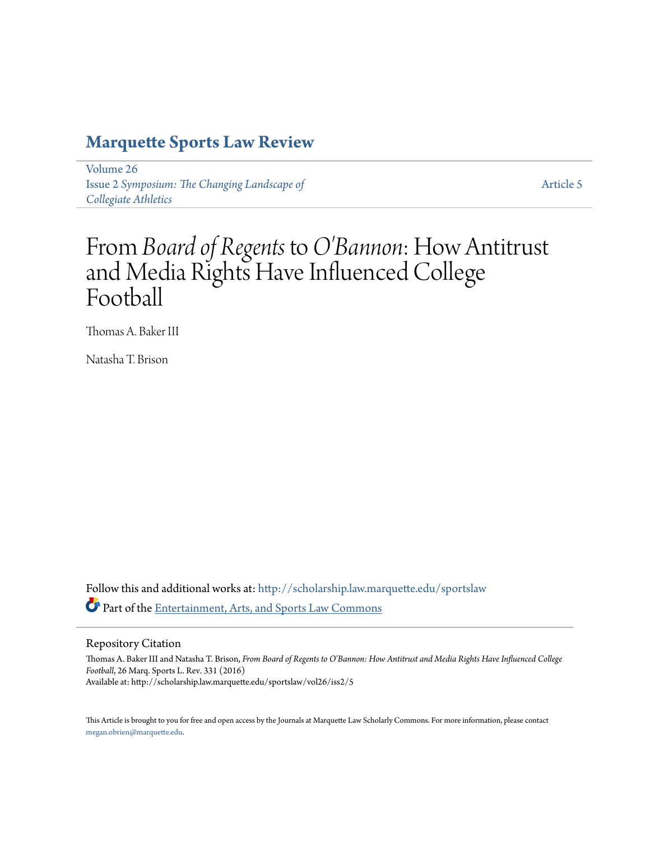# **[Marquette Sports Law Review](http://scholarship.law.marquette.edu/sportslaw?utm_source=scholarship.law.marquette.edu%2Fsportslaw%2Fvol26%2Fiss2%2F5&utm_medium=PDF&utm_campaign=PDFCoverPages)**

[Volume 26](http://scholarship.law.marquette.edu/sportslaw/vol26?utm_source=scholarship.law.marquette.edu%2Fsportslaw%2Fvol26%2Fiss2%2F5&utm_medium=PDF&utm_campaign=PDFCoverPages) Issue 2 *[Symposium: The Changing Landscape of](http://scholarship.law.marquette.edu/sportslaw/vol26/iss2?utm_source=scholarship.law.marquette.edu%2Fsportslaw%2Fvol26%2Fiss2%2F5&utm_medium=PDF&utm_campaign=PDFCoverPages) [Collegiate Athletics](http://scholarship.law.marquette.edu/sportslaw/vol26/iss2?utm_source=scholarship.law.marquette.edu%2Fsportslaw%2Fvol26%2Fiss2%2F5&utm_medium=PDF&utm_campaign=PDFCoverPages)*

[Article 5](http://scholarship.law.marquette.edu/sportslaw/vol26/iss2/5?utm_source=scholarship.law.marquette.edu%2Fsportslaw%2Fvol26%2Fiss2%2F5&utm_medium=PDF&utm_campaign=PDFCoverPages)

# From *Board of Regents* to*O'Bannon*: How Antitrust and Media Rights Have Influenced College Football

Thomas A. Baker III

Natasha T. Brison

Follow this and additional works at: [http://scholarship.law.marquette.edu/sportslaw](http://scholarship.law.marquette.edu/sportslaw?utm_source=scholarship.law.marquette.edu%2Fsportslaw%2Fvol26%2Fiss2%2F5&utm_medium=PDF&utm_campaign=PDFCoverPages) Part of the [Entertainment, Arts, and Sports Law Commons](http://network.bepress.com/hgg/discipline/893?utm_source=scholarship.law.marquette.edu%2Fsportslaw%2Fvol26%2Fiss2%2F5&utm_medium=PDF&utm_campaign=PDFCoverPages)

Repository Citation

Thomas A. Baker III and Natasha T. Brison, *From Board of Regents to O'Bannon: How Antitrust and Media Rights Have Influenced College Football*, 26 Marq. Sports L. Rev. 331 (2016) Available at: http://scholarship.law.marquette.edu/sportslaw/vol26/iss2/5

This Article is brought to you for free and open access by the Journals at Marquette Law Scholarly Commons. For more information, please contact [megan.obrien@marquette.edu.](mailto:megan.obrien@marquette.edu)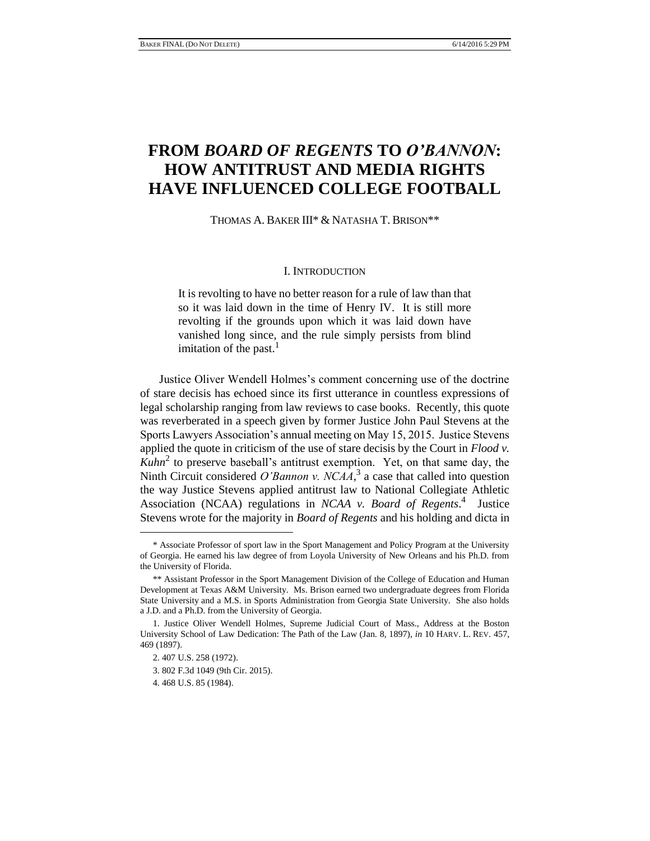# **FROM** *BOARD OF REGENTS* **TO** *O'BANNON***: HOW ANTITRUST AND MEDIA RIGHTS HAVE INFLUENCED COLLEGE FOOTBALL**

THOMAS A. BAKER III\* & NATASHA T. BRISON\*\*

#### I. INTRODUCTION

It is revolting to have no better reason for a rule of law than that so it was laid down in the time of Henry IV. It is still more revolting if the grounds upon which it was laid down have vanished long since, and the rule simply persists from blind imitation of the past. $<sup>1</sup>$ </sup>

Justice Oliver Wendell Holmes's comment concerning use of the doctrine of stare decisis has echoed since its first utterance in countless expressions of legal scholarship ranging from law reviews to case books. Recently, this quote was reverberated in a speech given by former Justice John Paul Stevens at the Sports Lawyers Association's annual meeting on May 15, 2015. Justice Stevens applied the quote in criticism of the use of stare decisis by the Court in *Flood v. Kuhn*<sup>2</sup> to preserve baseball's antitrust exemption. Yet, on that same day, the Ninth Circuit considered *O'Bannon v. NCAA*,<sup>3</sup> a case that called into question the way Justice Stevens applied antitrust law to National Collegiate Athletic Association (NCAA) regulations in *NCAA v. Board of Regents*. 4 Justice Stevens wrote for the majority in *Board of Regents* and his holding and dicta in

<sup>\*</sup> Associate Professor of sport law in the Sport Management and Policy Program at the University of Georgia. He earned his law degree of from Loyola University of New Orleans and his Ph.D. from the University of Florida.

<sup>\*\*</sup> Assistant Professor in the Sport Management Division of the College of Education and Human Development at Texas A&M University. Ms. Brison earned two undergraduate degrees from Florida State University and a M.S. in Sports Administration from Georgia State University. She also holds a J.D. and a Ph.D. from the University of Georgia.

<sup>1.</sup> Justice Oliver Wendell Holmes, Supreme Judicial Court of Mass., Address at the Boston University School of Law Dedication: The Path of the Law (Jan. 8, 1897), *in* 10 HARV. L. REV. 457, 469 (1897).

<sup>2. 407</sup> U.S. 258 (1972).

<sup>3. 802</sup> F.3d 1049 (9th Cir. 2015).

<sup>4. 468</sup> U.S. 85 (1984).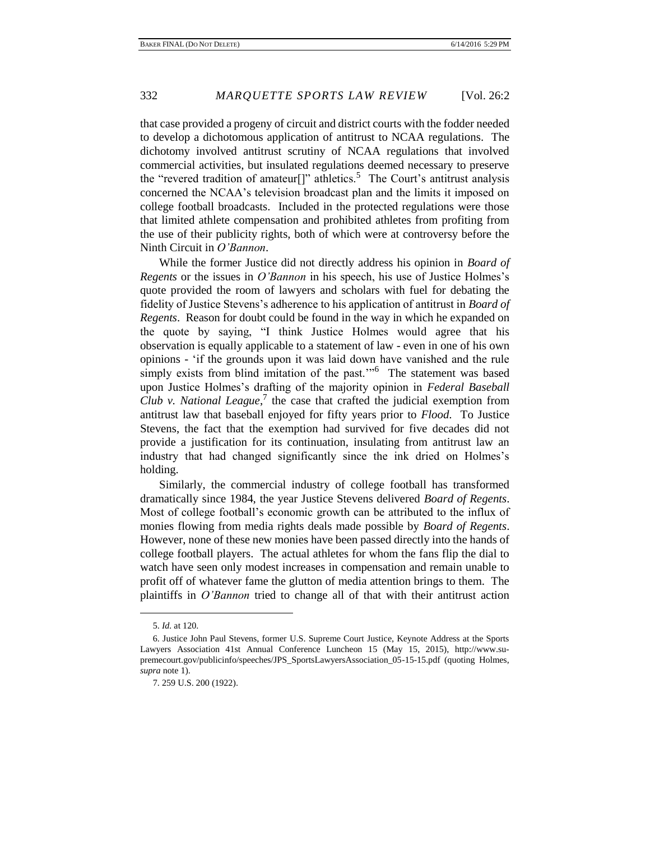that case provided a progeny of circuit and district courts with the fodder needed to develop a dichotomous application of antitrust to NCAA regulations. The dichotomy involved antitrust scrutiny of NCAA regulations that involved commercial activities, but insulated regulations deemed necessary to preserve the "revered tradition of amateur<sup>[]"</sup> athletics.<sup>5</sup> The Court's antitrust analysis concerned the NCAA's television broadcast plan and the limits it imposed on college football broadcasts. Included in the protected regulations were those that limited athlete compensation and prohibited athletes from profiting from the use of their publicity rights, both of which were at controversy before the Ninth Circuit in *O'Bannon*.

While the former Justice did not directly address his opinion in *Board of Regents* or the issues in *O'Bannon* in his speech, his use of Justice Holmes's quote provided the room of lawyers and scholars with fuel for debating the fidelity of Justice Stevens's adherence to his application of antitrust in *Board of Regents*. Reason for doubt could be found in the way in which he expanded on the quote by saying, "I think Justice Holmes would agree that his observation is equally applicable to a statement of law - even in one of his own opinions - 'if the grounds upon it was laid down have vanished and the rule simply exists from blind imitation of the past."<sup>6</sup> The statement was based upon Justice Holmes's drafting of the majority opinion in *Federal Baseball Club v. National League*, 7 the case that crafted the judicial exemption from antitrust law that baseball enjoyed for fifty years prior to *Flood*. To Justice Stevens, the fact that the exemption had survived for five decades did not provide a justification for its continuation, insulating from antitrust law an industry that had changed significantly since the ink dried on Holmes's holding.

Similarly, the commercial industry of college football has transformed dramatically since 1984, the year Justice Stevens delivered *Board of Regents*. Most of college football's economic growth can be attributed to the influx of monies flowing from media rights deals made possible by *Board of Regents*. However, none of these new monies have been passed directly into the hands of college football players. The actual athletes for whom the fans flip the dial to watch have seen only modest increases in compensation and remain unable to profit off of whatever fame the glutton of media attention brings to them. The plaintiffs in *O'Bannon* tried to change all of that with their antitrust action

<sup>5.</sup> *Id.* at 120.

<sup>6.</sup> Justice John Paul Stevens, former U.S. Supreme Court Justice, Keynote Address at the Sports Lawyers Association 41st Annual Conference Luncheon 15 (May 15, 2015), http://www.supremecourt.gov/publicinfo/speeches/JPS\_SportsLawyersAssociation\_05-15-15.pdf (quoting Holmes, *supra* note 1).

<sup>7. 259</sup> U.S. 200 (1922).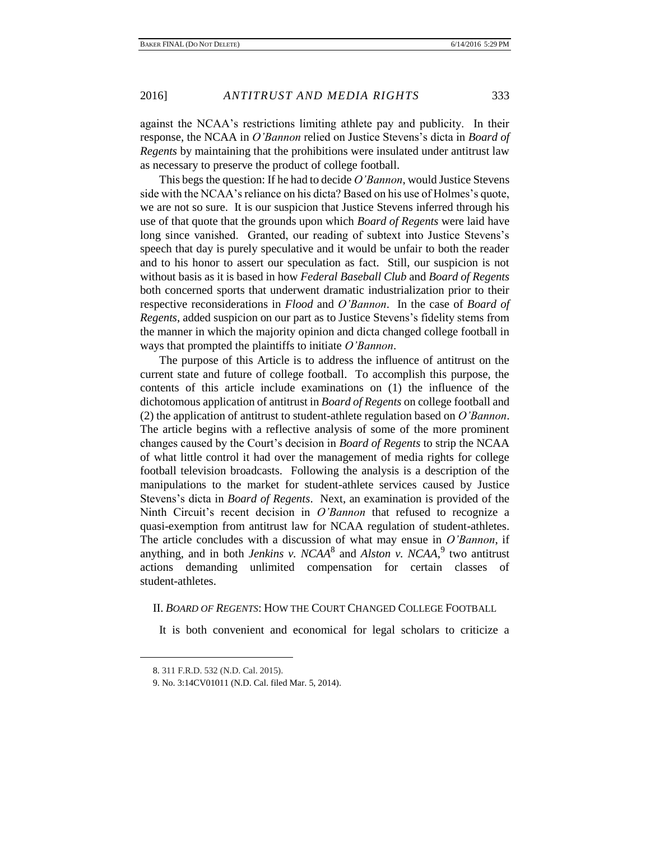against the NCAA's restrictions limiting athlete pay and publicity. In their response, the NCAA in *O'Bannon* relied on Justice Stevens's dicta in *Board of Regents* by maintaining that the prohibitions were insulated under antitrust law as necessary to preserve the product of college football.

This begs the question: If he had to decide *O'Bannon*, would Justice Stevens side with the NCAA's reliance on his dicta? Based on his use of Holmes's quote, we are not so sure. It is our suspicion that Justice Stevens inferred through his use of that quote that the grounds upon which *Board of Regents* were laid have long since vanished. Granted, our reading of subtext into Justice Stevens's speech that day is purely speculative and it would be unfair to both the reader and to his honor to assert our speculation as fact. Still, our suspicion is not without basis as it is based in how *Federal Baseball Club* and *Board of Regents*  both concerned sports that underwent dramatic industrialization prior to their respective reconsiderations in *Flood* and *O'Bannon*. In the case of *Board of Regents*, added suspicion on our part as to Justice Stevens's fidelity stems from the manner in which the majority opinion and dicta changed college football in ways that prompted the plaintiffs to initiate *O'Bannon*.

The purpose of this Article is to address the influence of antitrust on the current state and future of college football. To accomplish this purpose, the contents of this article include examinations on (1) the influence of the dichotomous application of antitrust in *Board of Regents* on college football and (2) the application of antitrust to student-athlete regulation based on *O'Bannon*. The article begins with a reflective analysis of some of the more prominent changes caused by the Court's decision in *Board of Regents* to strip the NCAA of what little control it had over the management of media rights for college football television broadcasts. Following the analysis is a description of the manipulations to the market for student-athlete services caused by Justice Stevens's dicta in *Board of Regents*. Next, an examination is provided of the Ninth Circuit's recent decision in *O'Bannon* that refused to recognize a quasi-exemption from antitrust law for NCAA regulation of student-athletes. The article concludes with a discussion of what may ensue in *O'Bannon*, if anything, and in both *Jenkins v. NCAA*<sup>8</sup> and *Alston v. NCAA*,<sup>9</sup> two antitrust actions demanding unlimited compensation for certain classes of student-athletes.

# II. *BOARD OF REGENTS*: HOW THE COURT CHANGED COLLEGE FOOTBALL

It is both convenient and economical for legal scholars to criticize a

<sup>8. 311</sup> F.R.D. 532 (N.D. Cal. 2015).

<sup>9.</sup> No. 3:14CV01011 (N.D. Cal. filed Mar. 5, 2014).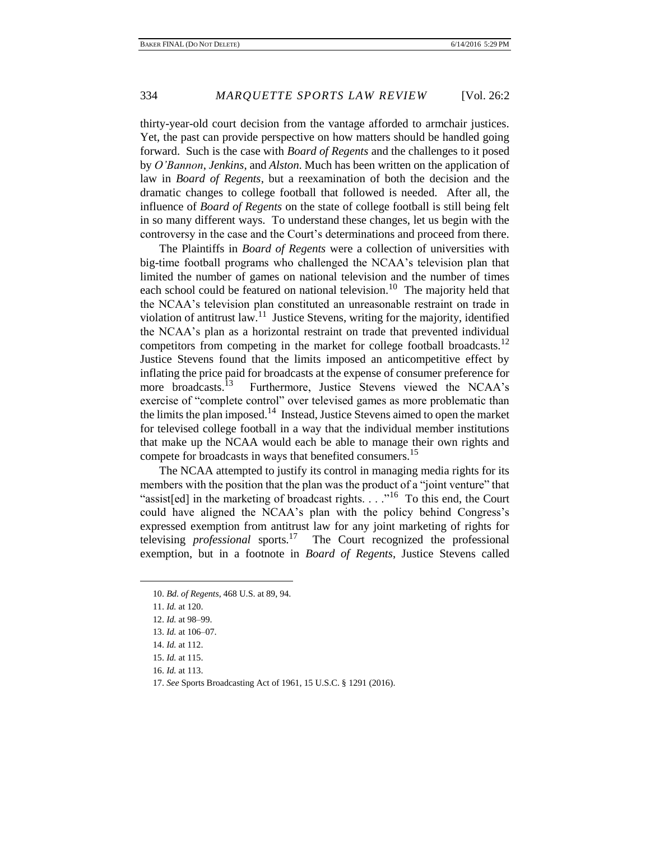thirty-year-old court decision from the vantage afforded to armchair justices. Yet, the past can provide perspective on how matters should be handled going forward. Such is the case with *Board of Regents* and the challenges to it posed by *O'Bannon*, *Jenkins*, and *Alston*. Much has been written on the application of law in *Board of Regents*, but a reexamination of both the decision and the dramatic changes to college football that followed is needed. After all, the influence of *Board of Regents* on the state of college football is still being felt in so many different ways. To understand these changes, let us begin with the controversy in the case and the Court's determinations and proceed from there.

The Plaintiffs in *Board of Regents* were a collection of universities with big-time football programs who challenged the NCAA's television plan that limited the number of games on national television and the number of times each school could be featured on national television.<sup>10</sup> The majority held that the NCAA's television plan constituted an unreasonable restraint on trade in violation of antitrust  $law$ <sup>11</sup> Justice Stevens, writing for the majority, identified the NCAA's plan as a horizontal restraint on trade that prevented individual competitors from competing in the market for college football broadcasts.<sup>12</sup> Justice Stevens found that the limits imposed an anticompetitive effect by inflating the price paid for broadcasts at the expense of consumer preference for more broadcasts.<sup>13</sup> Furthermore, Justice Stevens viewed the NCAA's exercise of "complete control" over televised games as more problematic than the limits the plan imposed.<sup>14</sup> Instead, Justice Stevens aimed to open the market for televised college football in a way that the individual member institutions that make up the NCAA would each be able to manage their own rights and compete for broadcasts in ways that benefited consumers.<sup>15</sup>

The NCAA attempted to justify its control in managing media rights for its members with the position that the plan was the product of a "joint venture" that "assist[ed] in the marketing of broadcast rights. . . . "<sup>16</sup> To this end, the Court could have aligned the NCAA's plan with the policy behind Congress's expressed exemption from antitrust law for any joint marketing of rights for televising *professional* sports.<sup>17</sup> The Court recognized the professional exemption, but in a footnote in *Board of Regents*, Justice Stevens called

<sup>10.</sup> *Bd. of Regents*, 468 U.S. at 89, 94.

<sup>11.</sup> *Id.* at 120.

<sup>12.</sup> *Id.* at 98–99.

<sup>13.</sup> *Id.* at 106–07.

<sup>14.</sup> *Id.* at 112.

<sup>15.</sup> *Id.* at 115.

<sup>16.</sup> *Id.* at 113.

<sup>17.</sup> *See* Sports Broadcasting Act of 1961, 15 U.S.C. § 1291 (2016).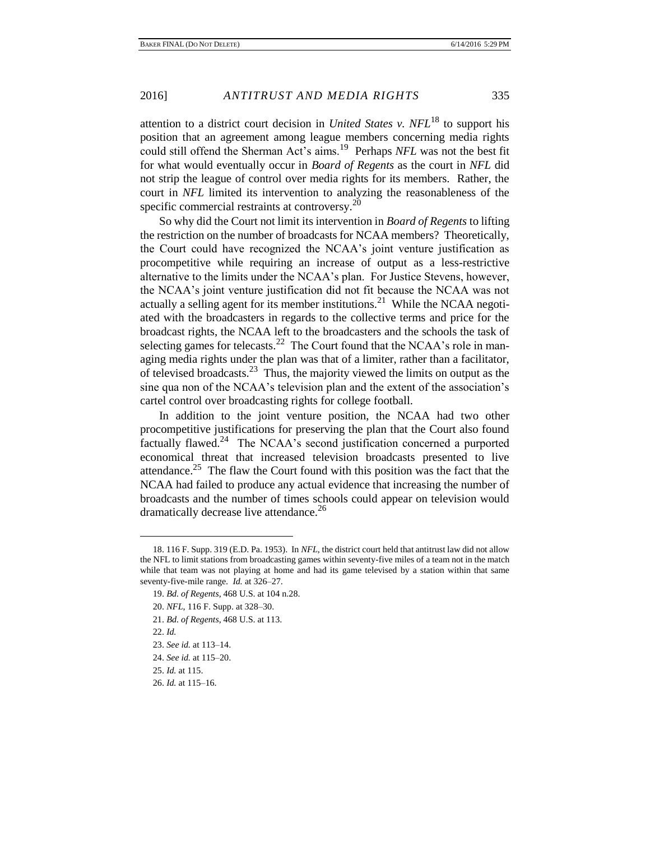attention to a district court decision in *United States v. NFL*<sup>18</sup> to support his position that an agreement among league members concerning media rights could still offend the Sherman Act's aims.<sup>19</sup> Perhaps *NFL* was not the best fit for what would eventually occur in *Board of Regents* as the court in *NFL* did not strip the league of control over media rights for its members. Rather, the court in *NFL* limited its intervention to analyzing the reasonableness of the specific commercial restraints at controversy.<sup>20</sup>

So why did the Court not limit its intervention in *Board of Regents* to lifting the restriction on the number of broadcasts for NCAA members? Theoretically, the Court could have recognized the NCAA's joint venture justification as procompetitive while requiring an increase of output as a less-restrictive alternative to the limits under the NCAA's plan. For Justice Stevens, however, the NCAA's joint venture justification did not fit because the NCAA was not actually a selling agent for its member institutions.<sup>21</sup> While the NCAA negotiated with the broadcasters in regards to the collective terms and price for the broadcast rights, the NCAA left to the broadcasters and the schools the task of selecting games for telecasts.<sup>22</sup> The Court found that the NCAA's role in managing media rights under the plan was that of a limiter, rather than a facilitator, of televised broadcasts.<sup>23</sup> Thus, the majority viewed the limits on output as the sine qua non of the NCAA's television plan and the extent of the association's cartel control over broadcasting rights for college football.

In addition to the joint venture position, the NCAA had two other procompetitive justifications for preserving the plan that the Court also found factually flawed.<sup>24</sup> The NCAA's second justification concerned a purported economical threat that increased television broadcasts presented to live attendance.<sup>25</sup> The flaw the Court found with this position was the fact that the NCAA had failed to produce any actual evidence that increasing the number of broadcasts and the number of times schools could appear on television would dramatically decrease live attendance.<sup>26</sup>

- 21. *Bd. of Regents*, 468 U.S. at 113.
- 22. *Id.*

<sup>18. 116</sup> F. Supp. 319 (E.D. Pa. 1953). In *NFL*, the district court held that antitrust law did not allow the NFL to limit stations from broadcasting games within seventy-five miles of a team not in the match while that team was not playing at home and had its game televised by a station within that same seventy-five-mile range. *Id.* at 326–27.

<sup>19.</sup> *Bd. of Regents*, 468 U.S. at 104 n.28.

<sup>20.</sup> *NFL*, 116 F. Supp. at 328–30.

<sup>23.</sup> *See id.* at 113–14.

<sup>24.</sup> *See id.* at 115–20.

<sup>25.</sup> *Id.* at 115.

<sup>26.</sup> *Id.* at 115–16.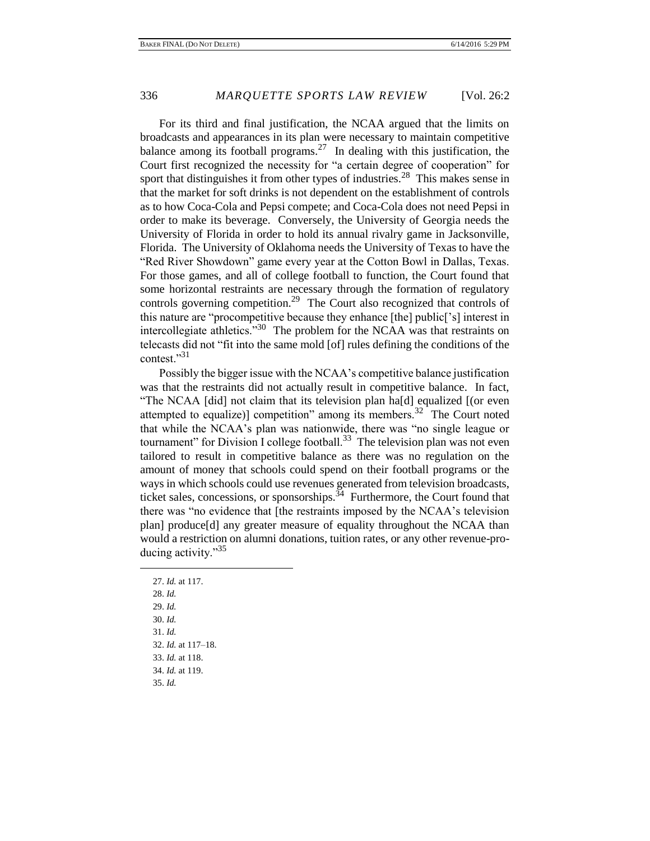For its third and final justification, the NCAA argued that the limits on broadcasts and appearances in its plan were necessary to maintain competitive balance among its football programs.<sup>27</sup> In dealing with this justification, the Court first recognized the necessity for "a certain degree of cooperation" for sport that distinguishes it from other types of industries.<sup>28</sup> This makes sense in that the market for soft drinks is not dependent on the establishment of controls as to how Coca-Cola and Pepsi compete; and Coca-Cola does not need Pepsi in order to make its beverage. Conversely, the University of Georgia needs the University of Florida in order to hold its annual rivalry game in Jacksonville, Florida. The University of Oklahoma needs the University of Texas to have the "Red River Showdown" game every year at the Cotton Bowl in Dallas, Texas. For those games, and all of college football to function, the Court found that some horizontal restraints are necessary through the formation of regulatory controls governing competition.<sup>29</sup> The Court also recognized that controls of this nature are "procompetitive because they enhance [the] public['s] interest in intercollegiate athletics.<sup>"30</sup> The problem for the NCAA was that restraints on telecasts did not "fit into the same mold [of] rules defining the conditions of the contest."31

Possibly the bigger issue with the NCAA's competitive balance justification was that the restraints did not actually result in competitive balance. In fact, "The NCAA [did] not claim that its television plan ha[d] equalized [(or even attempted to equalize)] competition" among its members.<sup>32</sup> The Court noted that while the NCAA's plan was nationwide, there was "no single league or tournament" for Division I college football.<sup>33</sup> The television plan was not even tailored to result in competitive balance as there was no regulation on the amount of money that schools could spend on their football programs or the ways in which schools could use revenues generated from television broadcasts, ticket sales, concessions, or sponsorships. $34$  Furthermore, the Court found that there was "no evidence that [the restraints imposed by the NCAA's television plan] produce[d] any greater measure of equality throughout the NCAA than would a restriction on alumni donations, tuition rates, or any other revenue-producing activity."<sup>35</sup>

27. *Id.* at 117. 28. *Id.* 29. *Id.* 30. *Id.* 31. *Id.* 32. *Id.* at 117–18. 33. *Id.* at 118. 34. *Id.* at 119. 35. *Id.*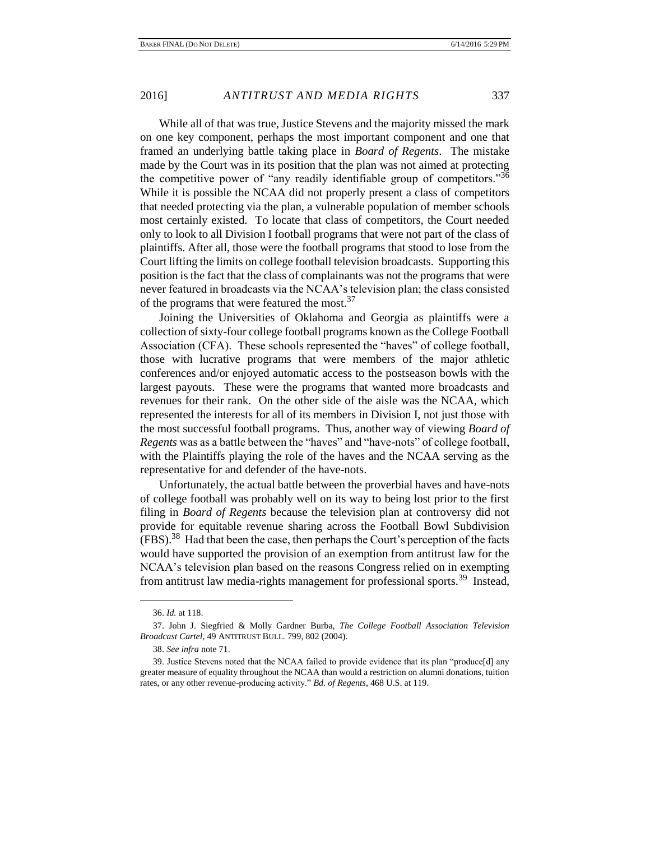While all of that was true, Justice Stevens and the majority missed the mark on one key component, perhaps the most important component and one that framed an underlying battle taking place in *Board of Regents*. The mistake made by the Court was in its position that the plan was not aimed at protecting the competitive power of "any readily identifiable group of competitors."<sup>36</sup> While it is possible the NCAA did not properly present a class of competitors that needed protecting via the plan, a vulnerable population of member schools most certainly existed. To locate that class of competitors, the Court needed only to look to all Division I football programs that were not part of the class of plaintiffs. After all, those were the football programs that stood to lose from the Court lifting the limits on college football television broadcasts. Supporting this position is the fact that the class of complainants was not the programs that were never featured in broadcasts via the NCAA's television plan; the class consisted of the programs that were featured the most.<sup>37</sup>

Joining the Universities of Oklahoma and Georgia as plaintiffs were a collection of sixty-four college football programs known as the College Football Association (CFA). These schools represented the "haves" of college football, those with lucrative programs that were members of the major athletic conferences and/or enjoyed automatic access to the postseason bowls with the largest payouts. These were the programs that wanted more broadcasts and revenues for their rank. On the other side of the aisle was the NCAA, which represented the interests for all of its members in Division I, not just those with the most successful football programs. Thus, another way of viewing *Board of Regents* was as a battle between the "haves" and "have-nots" of college football, with the Plaintiffs playing the role of the haves and the NCAA serving as the representative for and defender of the have-nots.

Unfortunately, the actual battle between the proverbial haves and have-nots of college football was probably well on its way to being lost prior to the first filing in *Board of Regents* because the television plan at controversy did not provide for equitable revenue sharing across the Football Bowl Subdivision  $(FBS)$ .<sup>38</sup> Had that been the case, then perhaps the Court's perception of the facts would have supported the provision of an exemption from antitrust law for the NCAA's television plan based on the reasons Congress relied on in exempting from antitrust law media-rights management for professional sports.<sup>39</sup> Instead,

<sup>36.</sup> *Id.* at 118.

<sup>37.</sup> John J. Siegfried & Molly Gardner Burba, *The College Football Association Television Broadcast Cartel*, 49 ANTITRUST BULL. 799, 802 (2004).

<sup>38.</sup> *See infra* note 71.

<sup>39.</sup> Justice Stevens noted that the NCAA failed to provide evidence that its plan "produce[d] any greater measure of equality throughout the NCAA than would a restriction on alumni donations, tuition rates, or any other revenue-producing activity." *Bd. of Regents*, 468 U.S. at 119.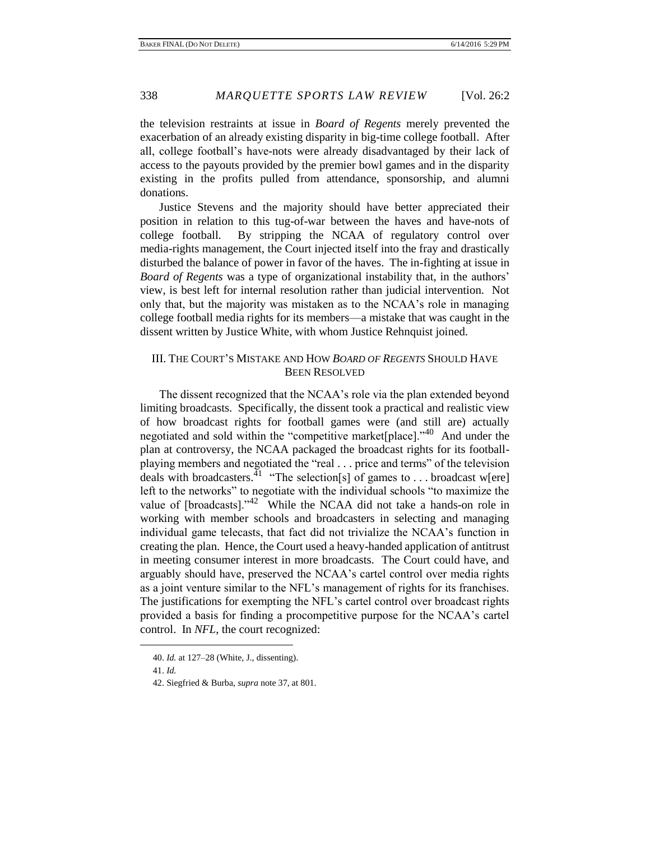the television restraints at issue in *Board of Regents* merely prevented the exacerbation of an already existing disparity in big-time college football. After all, college football's have-nots were already disadvantaged by their lack of access to the payouts provided by the premier bowl games and in the disparity existing in the profits pulled from attendance, sponsorship, and alumni donations.

Justice Stevens and the majority should have better appreciated their position in relation to this tug-of-war between the haves and have-nots of college football. By stripping the NCAA of regulatory control over media-rights management, the Court injected itself into the fray and drastically disturbed the balance of power in favor of the haves. The in-fighting at issue in *Board of Regents* was a type of organizational instability that, in the authors' view, is best left for internal resolution rather than judicial intervention. Not only that, but the majority was mistaken as to the NCAA's role in managing college football media rights for its members—a mistake that was caught in the dissent written by Justice White, with whom Justice Rehnquist joined.

# III. THE COURT'S MISTAKE AND HOW *BOARD OF REGENTS* SHOULD HAVE BEEN RESOLVED

The dissent recognized that the NCAA's role via the plan extended beyond limiting broadcasts. Specifically, the dissent took a practical and realistic view of how broadcast rights for football games were (and still are) actually negotiated and sold within the "competitive market[place]."<sup>40</sup> And under the plan at controversy, the NCAA packaged the broadcast rights for its footballplaying members and negotiated the "real . . . price and terms" of the television deals with broadcasters.<sup>41</sup> "The selection[s] of games to . . . broadcast w[ere] left to the networks" to negotiate with the individual schools "to maximize the value of  $[$ broadcasts]." $42$  While the NCAA did not take a hands-on role in working with member schools and broadcasters in selecting and managing individual game telecasts, that fact did not trivialize the NCAA's function in creating the plan. Hence, the Court used a heavy-handed application of antitrust in meeting consumer interest in more broadcasts. The Court could have, and arguably should have, preserved the NCAA's cartel control over media rights as a joint venture similar to the NFL's management of rights for its franchises. The justifications for exempting the NFL's cartel control over broadcast rights provided a basis for finding a procompetitive purpose for the NCAA's cartel control. In *NFL*, the court recognized:

<sup>40.</sup> *Id.* at 127–28 (White, J., dissenting).

<sup>41.</sup> *Id.*

<sup>42.</sup> Siegfried & Burba, *supra* note 37, at 801.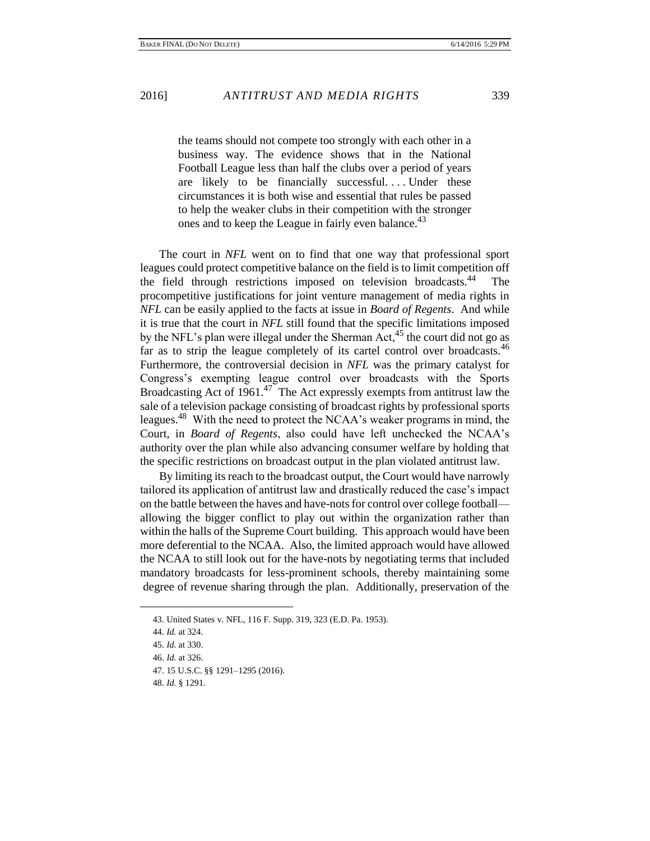the teams should not compete too strongly with each other in a business way. The evidence shows that in the National Football League less than half the clubs over a period of years are likely to be financially successful.... Under these circumstances it is both wise and essential that rules be passed to help the weaker clubs in their competition with the stronger ones and to keep the League in fairly even balance.<sup>43</sup>

The court in *NFL* went on to find that one way that professional sport leagues could protect competitive balance on the field is to limit competition off the field through restrictions imposed on television broadcasts.<sup>44</sup> The procompetitive justifications for joint venture management of media rights in *NFL* can be easily applied to the facts at issue in *Board of Regents*. And while it is true that the court in *NFL* still found that the specific limitations imposed by the NFL's plan were illegal under the Sherman Act,  $45$  the court did not go as far as to strip the league completely of its cartel control over broadcasts.<sup>46</sup> Furthermore, the controversial decision in *NFL* was the primary catalyst for Congress's exempting league control over broadcasts with the Sports Broadcasting Act of 1961.<sup>47</sup> The Act expressly exempts from antitrust law the sale of a television package consisting of broadcast rights by professional sports leagues.<sup>48</sup> With the need to protect the NCAA's weaker programs in mind, the Court, in *Board of Regents*, also could have left unchecked the NCAA's authority over the plan while also advancing consumer welfare by holding that the specific restrictions on broadcast output in the plan violated antitrust law.

By limiting its reach to the broadcast output, the Court would have narrowly tailored its application of antitrust law and drastically reduced the case's impact on the battle between the haves and have-nots for control over college football allowing the bigger conflict to play out within the organization rather than within the halls of the Supreme Court building. This approach would have been more deferential to the NCAA. Also, the limited approach would have allowed the NCAA to still look out for the have-nots by negotiating terms that included mandatory broadcasts for less-prominent schools, thereby maintaining some degree of revenue sharing through the plan. Additionally, preservation of the

<sup>43.</sup> United States v. NFL, 116 F. Supp. 319, 323 (E.D. Pa. 1953).

<sup>44.</sup> *Id.* at 324.

<sup>45.</sup> *Id.* at 330.

<sup>46.</sup> *Id.* at 326.

<sup>47. 15</sup> U.S.C. §§ 1291–1295 (2016).

<sup>48.</sup> *Id.* § 1291.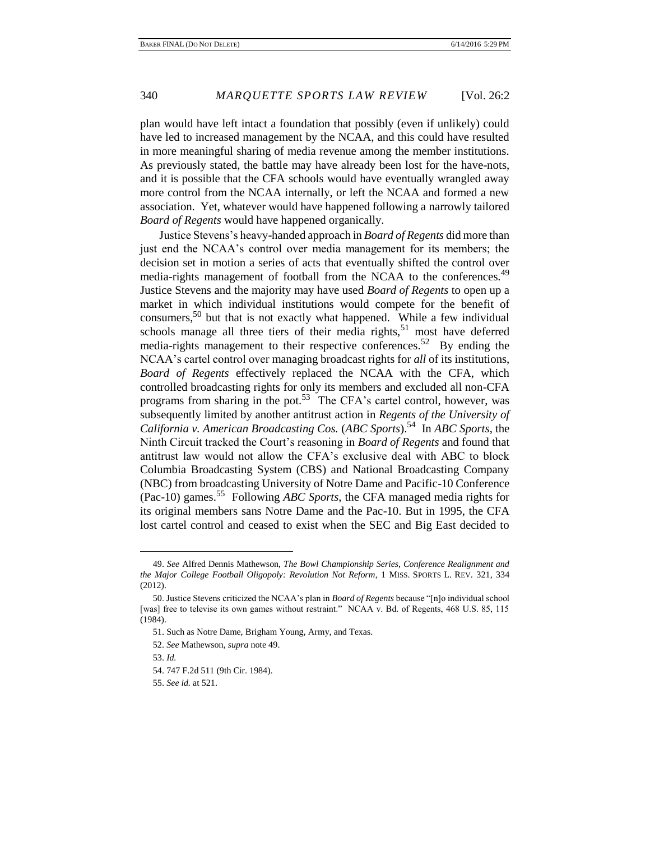plan would have left intact a foundation that possibly (even if unlikely) could have led to increased management by the NCAA, and this could have resulted in more meaningful sharing of media revenue among the member institutions. As previously stated, the battle may have already been lost for the have-nots, and it is possible that the CFA schools would have eventually wrangled away more control from the NCAA internally, or left the NCAA and formed a new association. Yet, whatever would have happened following a narrowly tailored *Board of Regents* would have happened organically.

Justice Stevens's heavy-handed approach in *Board of Regents* did more than just end the NCAA's control over media management for its members; the decision set in motion a series of acts that eventually shifted the control over media-rights management of football from the NCAA to the conferences.<sup>49</sup> Justice Stevens and the majority may have used *Board of Regents* to open up a market in which individual institutions would compete for the benefit of consumers,<sup>50</sup> but that is not exactly what happened. While a few individual schools manage all three tiers of their media rights, $51$  most have deferred media-rights management to their respective conferences.<sup>52</sup> By ending the NCAA's cartel control over managing broadcast rights for *all* of its institutions, *Board of Regents* effectively replaced the NCAA with the CFA, which controlled broadcasting rights for only its members and excluded all non-CFA programs from sharing in the pot.<sup>53</sup> The CFA's cartel control, however, was subsequently limited by another antitrust action in *Regents of the University of California v. American Broadcasting Cos.* (*ABC Sports*).<sup>54</sup> In *ABC Sports*, the Ninth Circuit tracked the Court's reasoning in *Board of Regents* and found that antitrust law would not allow the CFA's exclusive deal with ABC to block Columbia Broadcasting System (CBS) and National Broadcasting Company (NBC) from broadcasting University of Notre Dame and Pacific-10 Conference (Pac-10) games.<sup>55</sup> Following *ABC Sports*, the CFA managed media rights for its original members sans Notre Dame and the Pac-10. But in 1995, the CFA lost cartel control and ceased to exist when the SEC and Big East decided to

<sup>49.</sup> *See* Alfred Dennis Mathewson, *The Bowl Championship Series, Conference Realignment and the Major College Football Oligopoly: Revolution Not Reform*, 1 MISS. SPORTS L. REV. 321, 334 (2012).

<sup>50.</sup> Justice Stevens criticized the NCAA's plan in *Board of Regents* because "[n]o individual school [was] free to televise its own games without restraint." NCAA v. Bd. of Regents, 468 U.S. 85, 115 (1984).

<sup>51.</sup> Such as Notre Dame, Brigham Young, Army, and Texas.

<sup>52.</sup> *See* Mathewson, *supra* note 49.

<sup>53.</sup> *Id.*

<sup>54. 747</sup> F.2d 511 (9th Cir. 1984).

<sup>55.</sup> *See id.* at 521.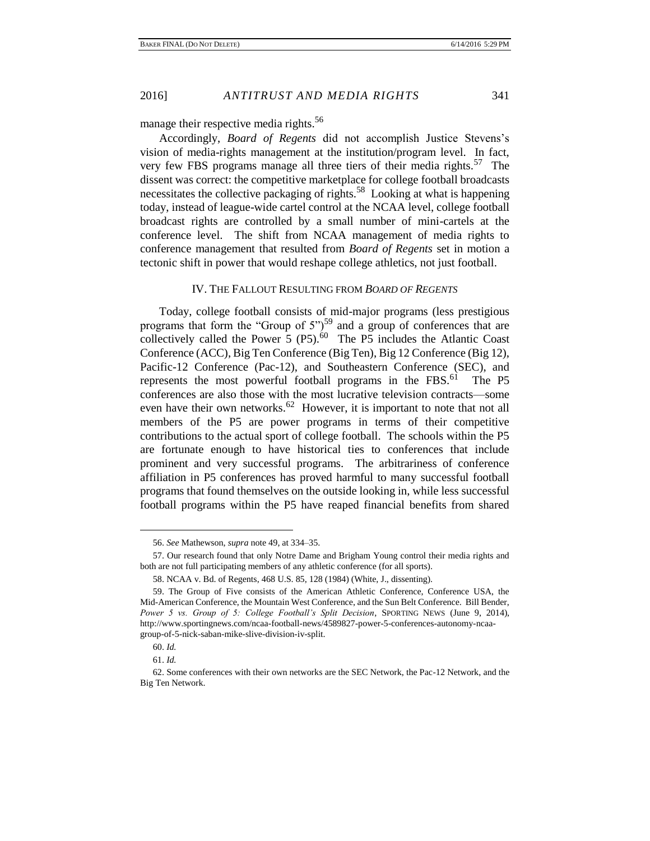manage their respective media rights.<sup>56</sup>

Accordingly, *Board of Regents* did not accomplish Justice Stevens's vision of media-rights management at the institution/program level. In fact, very few FBS programs manage all three tiers of their media rights.<sup>57</sup> The dissent was correct: the competitive marketplace for college football broadcasts necessitates the collective packaging of rights.<sup>58</sup> Looking at what is happening today, instead of league-wide cartel control at the NCAA level, college football broadcast rights are controlled by a small number of mini-cartels at the conference level. The shift from NCAA management of media rights to conference management that resulted from *Board of Regents* set in motion a tectonic shift in power that would reshape college athletics, not just football.

#### IV. THE FALLOUT RESULTING FROM *BOARD OF REGENTS*

Today, college football consists of mid-major programs (less prestigious programs that form the "Group of  $5"$ )<sup>59</sup> and a group of conferences that are collectively called the Power  $\overline{5}$  (P5).<sup>60</sup> The P5 includes the Atlantic Coast Conference (ACC), Big Ten Conference (Big Ten), Big 12 Conference (Big 12), Pacific-12 Conference (Pac-12), and Southeastern Conference (SEC), and represents the most powerful football programs in the FBS. $^{61}$  The P5 conferences are also those with the most lucrative television contracts—some even have their own networks.<sup>62</sup> However, it is important to note that not all members of the P5 are power programs in terms of their competitive contributions to the actual sport of college football. The schools within the P5 are fortunate enough to have historical ties to conferences that include prominent and very successful programs. The arbitrariness of conference affiliation in P5 conferences has proved harmful to many successful football programs that found themselves on the outside looking in, while less successful football programs within the P5 have reaped financial benefits from shared

<sup>56.</sup> *See* Mathewson, *supra* note 49, at 334–35.

<sup>57.</sup> Our research found that only Notre Dame and Brigham Young control their media rights and both are not full participating members of any athletic conference (for all sports).

<sup>58.</sup> NCAA v. Bd. of Regents, 468 U.S. 85, 128 (1984) (White, J., dissenting).

<sup>59.</sup> The Group of Five consists of the American Athletic Conference, Conference USA, the Mid-American Conference, the Mountain West Conference, and the Sun Belt Conference. Bill Bender, *Power 5 vs. Group of 5: College Football's Split Decision*, SPORTING NEWS (June 9, 2014), http://www.sportingnews.com/ncaa-football-news/4589827-power-5-conferences-autonomy-ncaagroup-of-5-nick-saban-mike-slive-division-iv-split.

<sup>60.</sup> *Id.*

<sup>61.</sup> *Id.*

<sup>62.</sup> Some conferences with their own networks are the SEC Network, the Pac-12 Network, and the Big Ten Network.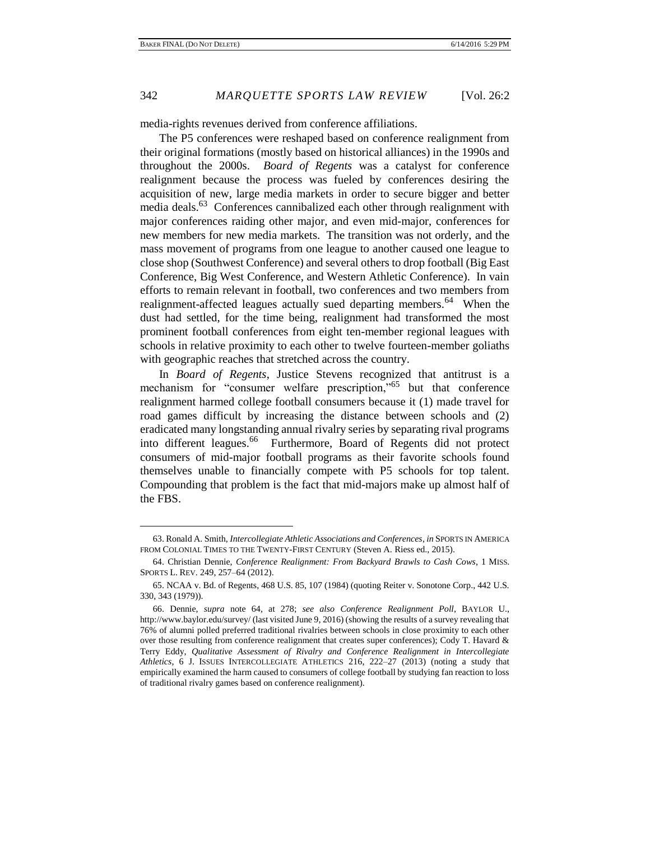media-rights revenues derived from conference affiliations.

The P5 conferences were reshaped based on conference realignment from their original formations (mostly based on historical alliances) in the 1990s and throughout the 2000s. *Board of Regents* was a catalyst for conference realignment because the process was fueled by conferences desiring the acquisition of new, large media markets in order to secure bigger and better media deals.<sup>63</sup> Conferences cannibalized each other through realignment with major conferences raiding other major, and even mid-major, conferences for new members for new media markets. The transition was not orderly, and the mass movement of programs from one league to another caused one league to close shop (Southwest Conference) and several others to drop football (Big East Conference, Big West Conference, and Western Athletic Conference). In vain efforts to remain relevant in football, two conferences and two members from realignment-affected leagues actually sued departing members.<sup>64</sup> When the dust had settled, for the time being, realignment had transformed the most prominent football conferences from eight ten-member regional leagues with schools in relative proximity to each other to twelve fourteen-member goliaths with geographic reaches that stretched across the country.

In *Board of Regents*, Justice Stevens recognized that antitrust is a mechanism for "consumer welfare prescription,"<sup>65</sup> but that conference realignment harmed college football consumers because it (1) made travel for road games difficult by increasing the distance between schools and (2) eradicated many longstanding annual rivalry series by separating rival programs into different leagues.<sup>66</sup> Furthermore, Board of Regents did not protect consumers of mid-major football programs as their favorite schools found themselves unable to financially compete with P5 schools for top talent. Compounding that problem is the fact that mid-majors make up almost half of the FBS.

<sup>63.</sup> Ronald A. Smith, *Intercollegiate Athletic Associations and Conferences*, *in* SPORTS IN AMERICA FROM COLONIAL TIMES TO THE TWENTY-FIRST CENTURY (Steven A. Riess ed., 2015).

<sup>64.</sup> Christian Dennie, *Conference Realignment: From Backyard Brawls to Cash Cows*, 1 MISS. SPORTS L. REV. 249, 257–64 (2012).

<sup>65.</sup> NCAA v. Bd. of Regents, 468 U.S. 85, 107 (1984) (quoting Reiter v. Sonotone Corp., 442 U.S. 330, 343 (1979)).

<sup>66.</sup> Dennie, *supra* note 64, at 278; *see also Conference Realignment Poll*, BAYLOR U., http://www.baylor.edu/survey/ (last visited June 9, 2016) (showing the results of a survey revealing that 76% of alumni polled preferred traditional rivalries between schools in close proximity to each other over those resulting from conference realignment that creates super conferences); Cody T. Havard & Terry Eddy, *Qualitative Assessment of Rivalry and Conference Realignment in Intercollegiate Athletics*, 6 J. ISSUES INTERCOLLEGIATE ATHLETICS 216, 222–27 (2013) (noting a study that empirically examined the harm caused to consumers of college football by studying fan reaction to loss of traditional rivalry games based on conference realignment).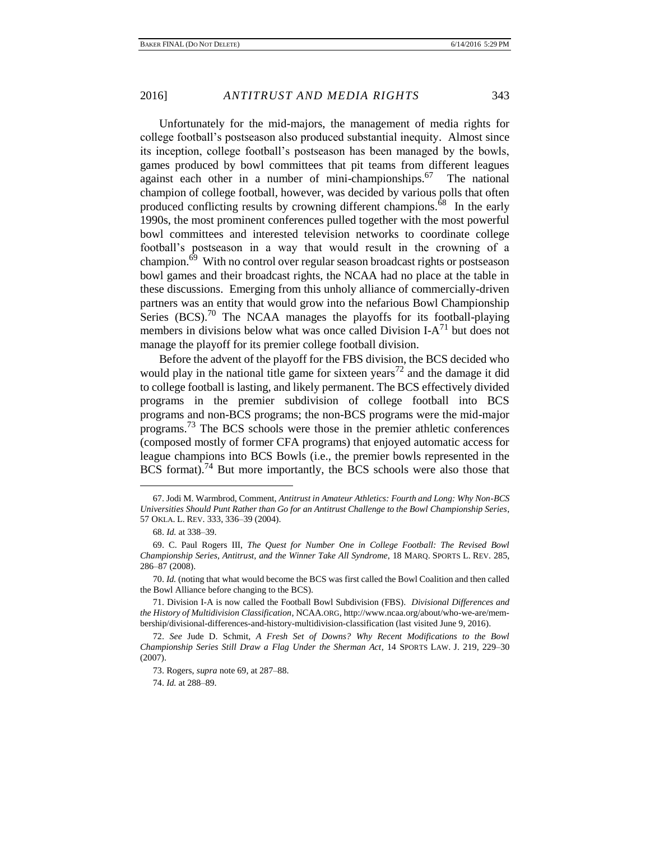Unfortunately for the mid-majors, the management of media rights for college football's postseason also produced substantial inequity. Almost since its inception, college football's postseason has been managed by the bowls, games produced by bowl committees that pit teams from different leagues against each other in a number of mini-championships.<sup>67</sup> The national champion of college football, however, was decided by various polls that often produced conflicting results by crowning different champions. $\delta^8$  In the early 1990s, the most prominent conferences pulled together with the most powerful bowl committees and interested television networks to coordinate college football's postseason in a way that would result in the crowning of a champion.<sup>69</sup> With no control over regular season broadcast rights or postseason bowl games and their broadcast rights, the NCAA had no place at the table in these discussions. Emerging from this unholy alliance of commercially-driven partners was an entity that would grow into the nefarious Bowl Championship Series  $(BCS)$ .<sup>70</sup> The NCAA manages the playoffs for its football-playing members in divisions below what was once called Division  $I-A$ <sup>71</sup> but does not manage the playoff for its premier college football division.

Before the advent of the playoff for the FBS division, the BCS decided who would play in the national title game for sixteen years<sup>72</sup> and the damage it did to college football is lasting, and likely permanent. The BCS effectively divided programs in the premier subdivision of college football into BCS programs and non-BCS programs; the non-BCS programs were the mid-major programs.<sup>73</sup> The BCS schools were those in the premier athletic conferences (composed mostly of former CFA programs) that enjoyed automatic access for league champions into BCS Bowls (i.e., the premier bowls represented in the BCS format).<sup>74</sup> But more importantly, the BCS schools were also those that

<sup>67.</sup> Jodi M. Warmbrod, Comment, *Antitrust in Amateur Athletics: Fourth and Long: Why Non-BCS Universities Should Punt Rather than Go for an Antitrust Challenge to the Bowl Championship Series*, 57 OKLA. L. REV. 333, 336–39 (2004).

<sup>68.</sup> *Id.* at 338–39.

<sup>69.</sup> C. Paul Rogers III, *The Quest for Number One in College Football: The Revised Bowl Championship Series, Antitrust, and the Winner Take All Syndrome*, 18 MARQ. SPORTS L. REV. 285, 286–87 (2008).

<sup>70.</sup> *Id.* (noting that what would become the BCS was first called the Bowl Coalition and then called the Bowl Alliance before changing to the BCS).

<sup>71.</sup> Division I-A is now called the Football Bowl Subdivision (FBS). *Divisional Differences and the History of Multidivision Classification*, NCAA.ORG, http://www.ncaa.org/about/who-we-are/membership/divisional-differences-and-history-multidivision-classification (last visited June 9, 2016).

<sup>72.</sup> *See* Jude D. Schmit, *A Fresh Set of Downs? Why Recent Modifications to the Bowl Championship Series Still Draw a Flag Under the Sherman Act*, 14 SPORTS LAW. J. 219, 229–30 (2007).

<sup>73.</sup> Rogers, *supra* note 69, at 287–88.

<sup>74.</sup> *Id.* at 288–89.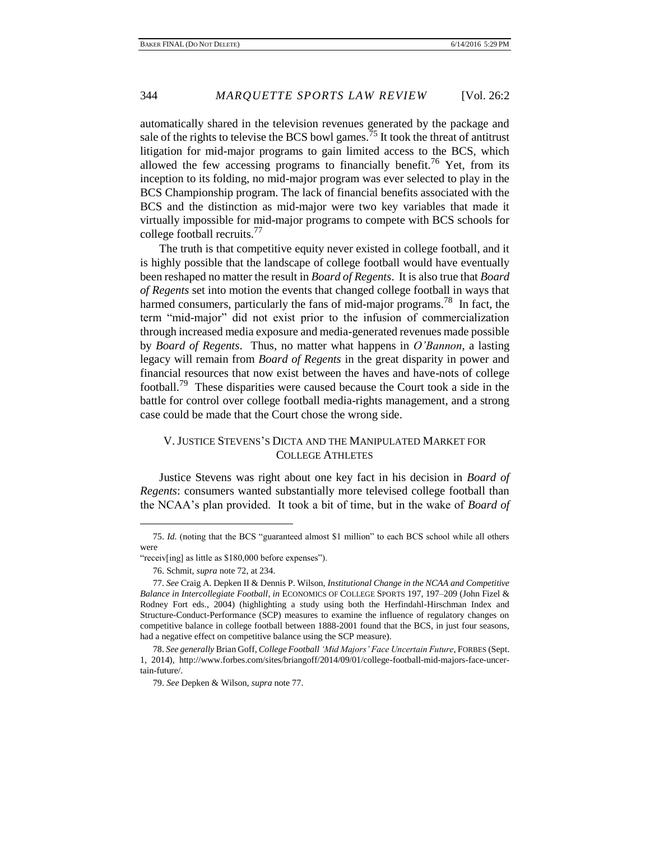automatically shared in the television revenues generated by the package and sale of the rights to televise the BCS bowl games.<sup>75</sup> It took the threat of antitrust litigation for mid-major programs to gain limited access to the BCS, which allowed the few accessing programs to financially benefit.<sup>76</sup> Yet, from its inception to its folding, no mid-major program was ever selected to play in the BCS Championship program. The lack of financial benefits associated with the BCS and the distinction as mid-major were two key variables that made it virtually impossible for mid-major programs to compete with BCS schools for college football recruits.<sup>77</sup>

The truth is that competitive equity never existed in college football, and it is highly possible that the landscape of college football would have eventually been reshaped no matter the result in *Board of Regents*. It is also true that *Board of Regents* set into motion the events that changed college football in ways that harmed consumers, particularly the fans of mid-major programs.<sup>78</sup> In fact, the term "mid-major" did not exist prior to the infusion of commercialization through increased media exposure and media-generated revenues made possible by *Board of Regents*. Thus, no matter what happens in *O'Bannon*, a lasting legacy will remain from *Board of Regents* in the great disparity in power and financial resources that now exist between the haves and have-nots of college football.<sup>79</sup> These disparities were caused because the Court took a side in the battle for control over college football media-rights management, and a strong case could be made that the Court chose the wrong side.

# V. JUSTICE STEVENS'S DICTA AND THE MANIPULATED MARKET FOR COLLEGE ATHLETES

Justice Stevens was right about one key fact in his decision in *Board of Regents*: consumers wanted substantially more televised college football than the NCAA's plan provided. It took a bit of time, but in the wake of *Board of* 

<sup>75.</sup> *Id.* (noting that the BCS "guaranteed almost \$1 million" to each BCS school while all others were

<sup>&</sup>quot;receiv[ing] as little as \$180,000 before expenses").

<sup>76.</sup> Schmit, *supra* note 72, at 234.

<sup>77.</sup> *See* Craig A. Depken II & Dennis P. Wilson, *Institutional Change in the NCAA and Competitive Balance in Intercollegiate Football*, *in* ECONOMICS OF COLLEGE SPORTS 197, 197–209 (John Fizel & Rodney Fort eds., 2004) (highlighting a study using both the Herfindahl-Hirschman Index and Structure-Conduct-Performance (SCP) measures to examine the influence of regulatory changes on competitive balance in college football between 1888-2001 found that the BCS, in just four seasons, had a negative effect on competitive balance using the SCP measure).

<sup>78.</sup> *See generally* Brian Goff, *College Football 'Mid Majors' Face Uncertain Future*, FORBES (Sept. 1, 2014), http://www.forbes.com/sites/briangoff/2014/09/01/college-football-mid-majors-face-uncertain-future/.

<sup>79.</sup> *See* Depken & Wilson, *supra* note 77.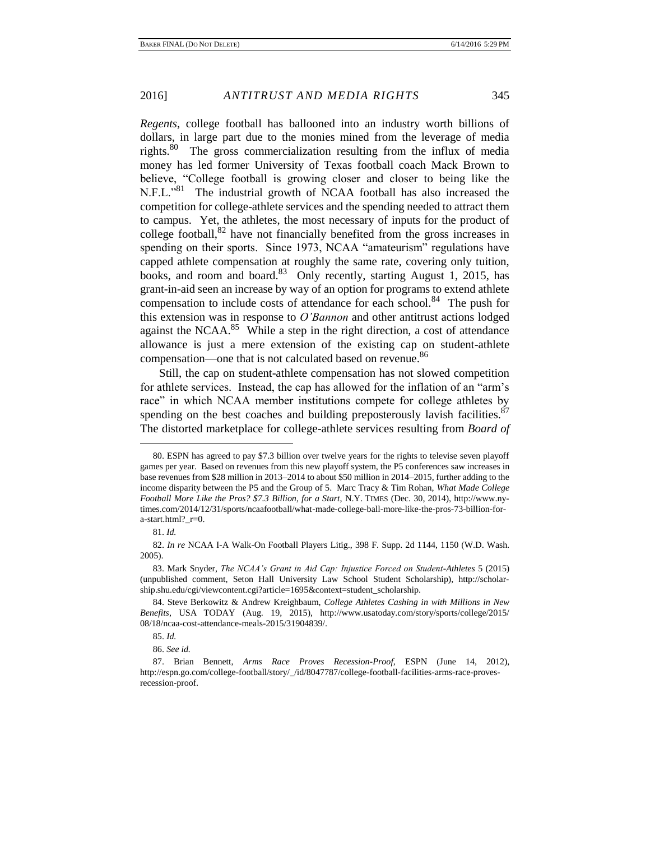*Regents*, college football has ballooned into an industry worth billions of dollars, in large part due to the monies mined from the leverage of media rights.<sup>80</sup> The gross commercialization resulting from the influx of media money has led former University of Texas football coach Mack Brown to believe, "College football is growing closer and closer to being like the N.F.L."<sup>81</sup> The industrial growth of NCAA football has also increased the competition for college-athlete services and the spending needed to attract them to campus. Yet, the athletes, the most necessary of inputs for the product of college football, $82$  have not financially benefited from the gross increases in spending on their sports. Since 1973, NCAA "amateurism" regulations have capped athlete compensation at roughly the same rate, covering only tuition, books, and room and board.<sup>83</sup> Only recently, starting August 1, 2015, has grant-in-aid seen an increase by way of an option for programs to extend athlete compensation to include costs of attendance for each school.<sup>84</sup> The push for this extension was in response to *O'Bannon* and other antitrust actions lodged against the NCAA. $85$  While a step in the right direction, a cost of attendance allowance is just a mere extension of the existing cap on student-athlete compensation—one that is not calculated based on revenue.<sup>86</sup>

Still, the cap on student-athlete compensation has not slowed competition for athlete services. Instead, the cap has allowed for the inflation of an "arm's race" in which NCAA member institutions compete for college athletes by spending on the best coaches and building preposterously lavish facilities.  $87$ The distorted marketplace for college-athlete services resulting from *Board of* 

<sup>80.</sup> ESPN has agreed to pay \$7.3 billion over twelve years for the rights to televise seven playoff games per year. Based on revenues from this new playoff system, the P5 conferences saw increases in base revenues from \$28 million in 2013–2014 to about \$50 million in 2014–2015, further adding to the income disparity between the P5 and the Group of 5. Marc Tracy & Tim Rohan, *What Made College Football More Like the Pros? \$7.3 Billion, for a Start*, N.Y. TIMES (Dec. 30, 2014), http://www.nytimes.com/2014/12/31/sports/ncaafootball/what-made-college-ball-more-like-the-pros-73-billion-fora-start.html?\_r=0.

<sup>81.</sup> *Id.*

<sup>82.</sup> *In re* NCAA I-A Walk-On Football Players Litig., 398 F. Supp. 2d 1144, 1150 (W.D. Wash. 2005).

<sup>83.</sup> Mark Snyder, *The NCAA's Grant in Aid Cap: Injustice Forced on Student-Athletes* 5 (2015) (unpublished comment, Seton Hall University Law School Student Scholarship), http://scholarship.shu.edu/cgi/viewcontent.cgi?article=1695&context=student\_scholarship.

<sup>84.</sup> Steve Berkowitz & Andrew Kreighbaum, *College Athletes Cashing in with Millions in New Benefits*, USA TODAY (Aug. 19, 2015), http://www.usatoday.com/story/sports/college/2015/ 08/18/ncaa-cost-attendance-meals-2015/31904839/.

<sup>85.</sup> *Id.*

<sup>86.</sup> *See id.*

<sup>87.</sup> Brian Bennett, *Arms Race Proves Recession-Proof*, ESPN (June 14, 2012), http://espn.go.com/college-football/story/\_/id/8047787/college-football-facilities-arms-race-provesrecession-proof.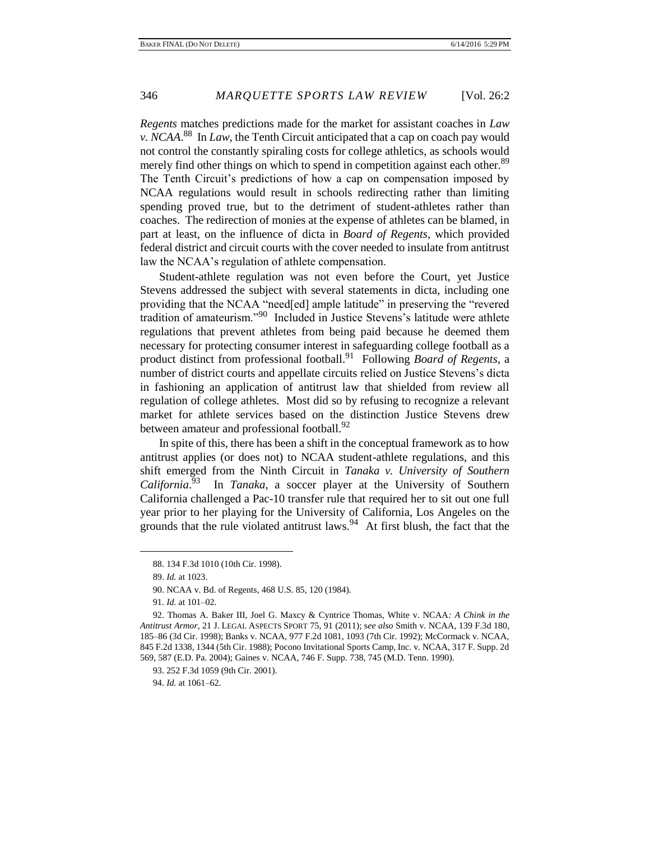*Regents* matches predictions made for the market for assistant coaches in *Law v. NCAA*. 88 In *Law*, the Tenth Circuit anticipated that a cap on coach pay would not control the constantly spiraling costs for college athletics, as schools would merely find other things on which to spend in competition against each other.<sup>89</sup> The Tenth Circuit's predictions of how a cap on compensation imposed by NCAA regulations would result in schools redirecting rather than limiting spending proved true, but to the detriment of student-athletes rather than coaches. The redirection of monies at the expense of athletes can be blamed, in part at least, on the influence of dicta in *Board of Regents*, which provided federal district and circuit courts with the cover needed to insulate from antitrust law the NCAA's regulation of athlete compensation.

Student-athlete regulation was not even before the Court, yet Justice Stevens addressed the subject with several statements in dicta, including one providing that the NCAA "need[ed] ample latitude" in preserving the "revered tradition of amateurism."<sup>90</sup> Included in Justice Stevens's latitude were athlete regulations that prevent athletes from being paid because he deemed them necessary for protecting consumer interest in safeguarding college football as a product distinct from professional football.<sup>91</sup> Following *Board of Regents*, a number of district courts and appellate circuits relied on Justice Stevens's dicta in fashioning an application of antitrust law that shielded from review all regulation of college athletes. Most did so by refusing to recognize a relevant market for athlete services based on the distinction Justice Stevens drew between amateur and professional football.<sup>92</sup>

In spite of this, there has been a shift in the conceptual framework as to how antitrust applies (or does not) to NCAA student-athlete regulations, and this shift emerged from the Ninth Circuit in *Tanaka v. University of Southern California*. 93 In *Tanaka*, a soccer player at the University of Southern California challenged a Pac-10 transfer rule that required her to sit out one full year prior to her playing for the University of California, Los Angeles on the grounds that the rule violated antitrust laws.<sup>94</sup> At first blush, the fact that the

 $\overline{a}$ 

94. *Id.* at 1061–62.

<sup>88. 134</sup> F.3d 1010 (10th Cir. 1998).

<sup>89.</sup> *Id.* at 1023.

<sup>90.</sup> NCAA v. Bd. of Regents, 468 U.S. 85, 120 (1984).

<sup>91.</sup> *Id.* at 101–02.

<sup>92.</sup> Thomas A. Baker III, Joel G. Maxcy & Cyntrice Thomas, White v. NCAA*: A Chink in the Antitrust Armor*, 21 J. LEGAL ASPECTS SPORT 75, 91 (2011); s*ee also* Smith v. NCAA, 139 F.3d 180, 185–86 (3d Cir. 1998); Banks v. NCAA, 977 F.2d 1081, 1093 (7th Cir. 1992); McCormack v. NCAA, 845 F.2d 1338, 1344 (5th Cir. 1988); Pocono Invitational Sports Camp, Inc. v. NCAA, 317 F. Supp. 2d 569, 587 (E.D. Pa. 2004); Gaines v. NCAA, 746 F. Supp. 738, 745 (M.D. Tenn. 1990).

<sup>93. 252</sup> F.3d 1059 (9th Cir. 2001).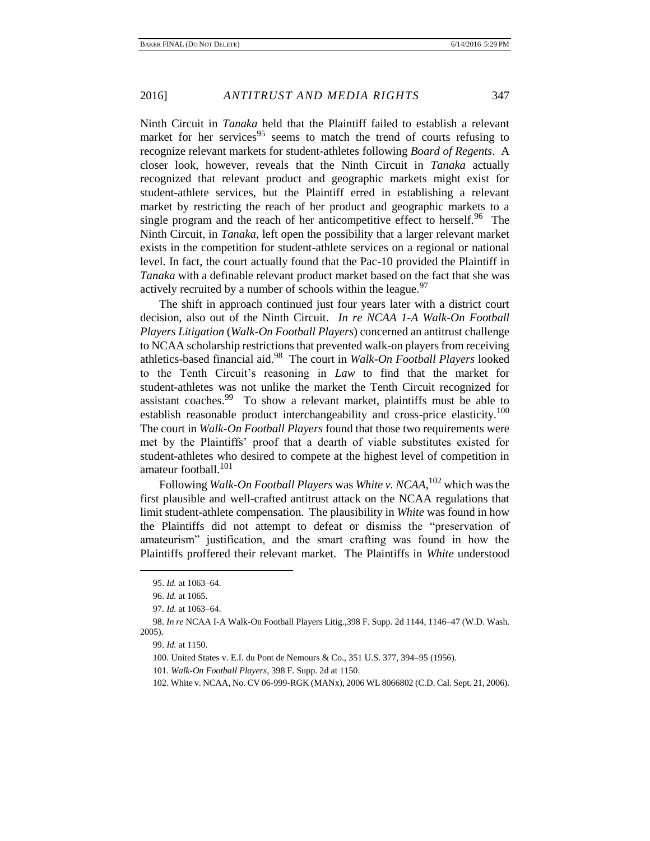Ninth Circuit in *Tanaka* held that the Plaintiff failed to establish a relevant market for her services<sup>95</sup> seems to match the trend of courts refusing to recognize relevant markets for student-athletes following *Board of Regents*. A closer look, however, reveals that the Ninth Circuit in *Tanaka* actually recognized that relevant product and geographic markets might exist for student-athlete services, but the Plaintiff erred in establishing a relevant market by restricting the reach of her product and geographic markets to a single program and the reach of her anticompetitive effect to herself.<sup>96</sup> The Ninth Circuit, in *Tanaka*, left open the possibility that a larger relevant market exists in the competition for student-athlete services on a regional or national level. In fact, the court actually found that the Pac-10 provided the Plaintiff in *Tanaka* with a definable relevant product market based on the fact that she was actively recruited by a number of schools within the league.<sup>97</sup>

The shift in approach continued just four years later with a district court decision, also out of the Ninth Circuit. *In re NCAA 1-A Walk-On Football Players Litigation* (*Walk-On Football Players*) concerned an antitrust challenge to NCAA scholarship restrictions that prevented walk-on players from receiving athletics-based financial aid.<sup>98</sup> The court in *Walk-On Football Players* looked to the Tenth Circuit's reasoning in *Law* to find that the market for student-athletes was not unlike the market the Tenth Circuit recognized for assistant coaches.<sup>99</sup> To show a relevant market, plaintiffs must be able to establish reasonable product interchangeability and cross-price elasticity.<sup>100</sup> The court in *Walk-On Football Players* found that those two requirements were met by the Plaintiffs' proof that a dearth of viable substitutes existed for student-athletes who desired to compete at the highest level of competition in amateur football.<sup>101</sup>

Following *Walk-On Football Players* was *White v. NCAA*, <sup>102</sup> which was the first plausible and well-crafted antitrust attack on the NCAA regulations that limit student-athlete compensation. The plausibility in *White* was found in how the Plaintiffs did not attempt to defeat or dismiss the "preservation of amateurism" justification, and the smart crafting was found in how the Plaintiffs proffered their relevant market. The Plaintiffs in *White* understood

<sup>95.</sup> *Id.* at 1063–64.

<sup>96.</sup> *Id.* at 1065.

<sup>97.</sup> *Id.* at 1063–64.

<sup>98.</sup> *In re* NCAA I-A Walk-On Football Players Litig.,398 F. Supp. 2d 1144, 1146–47 (W.D. Wash. 2005).

<sup>99.</sup> *Id.* at 1150.

<sup>100.</sup> United States v. E.I. du Pont de Nemours & Co., 351 U.S. 377, 394–95 (1956).

<sup>101.</sup> *Walk-On Football Players*, 398 F. Supp. 2d at 1150.

<sup>102.</sup> White v. NCAA, No. CV 06-999-RGK (MANx), 2006 WL 8066802 (C.D. Cal. Sept. 21, 2006).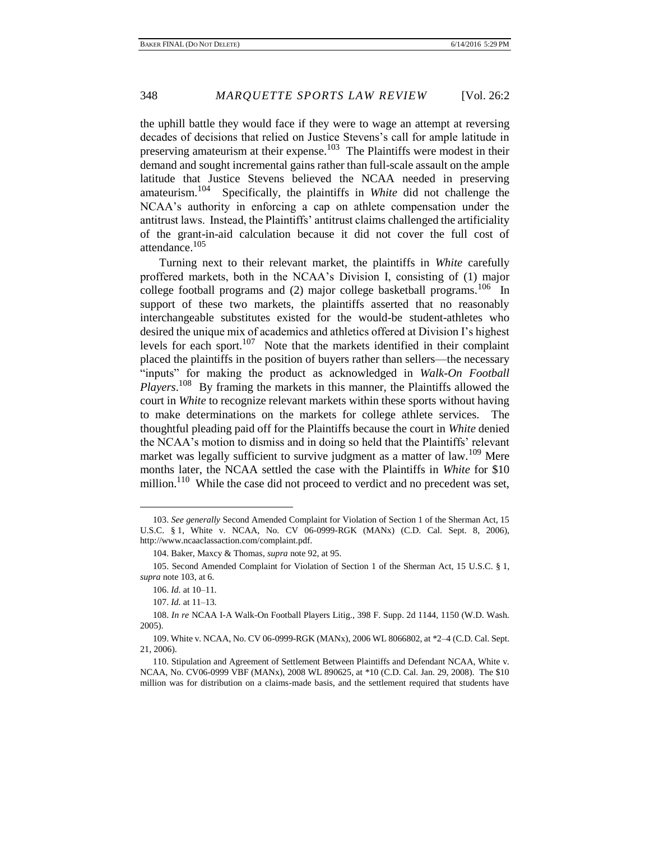the uphill battle they would face if they were to wage an attempt at reversing decades of decisions that relied on Justice Stevens's call for ample latitude in preserving amateurism at their expense.<sup>103</sup> The Plaintiffs were modest in their demand and sought incremental gains rather than full-scale assault on the ample latitude that Justice Stevens believed the NCAA needed in preserving amateurism.<sup>104</sup> Specifically, the plaintiffs in *White* did not challenge the NCAA's authority in enforcing a cap on athlete compensation under the antitrust laws. Instead, the Plaintiffs' antitrust claims challenged the artificiality of the grant-in-aid calculation because it did not cover the full cost of attendance.<sup>105</sup>

Turning next to their relevant market, the plaintiffs in *White* carefully proffered markets, both in the NCAA's Division I, consisting of (1) major college football programs and  $(2)$  major college basketball programs.<sup>106</sup> In support of these two markets, the plaintiffs asserted that no reasonably interchangeable substitutes existed for the would-be student-athletes who desired the unique mix of academics and athletics offered at Division I's highest levels for each sport.<sup>107</sup> Note that the markets identified in their complaint placed the plaintiffs in the position of buyers rather than sellers—the necessary "inputs" for making the product as acknowledged in *Walk-On Football*  Players.<sup>108</sup> By framing the markets in this manner, the Plaintiffs allowed the court in *White* to recognize relevant markets within these sports without having to make determinations on the markets for college athlete services. The thoughtful pleading paid off for the Plaintiffs because the court in *White* denied the NCAA's motion to dismiss and in doing so held that the Plaintiffs' relevant market was legally sufficient to survive judgment as a matter of law.<sup>109</sup> Mere months later, the NCAA settled the case with the Plaintiffs in *White* for \$10 million.<sup>110</sup> While the case did not proceed to verdict and no precedent was set,

<sup>103.</sup> *See generally* Second Amended Complaint for Violation of Section 1 of the Sherman Act, 15 U.S.C. § 1, White v. NCAA, No. CV 06-0999-RGK (MANx) (C.D. Cal. Sept. 8, 2006), http://www.ncaaclassaction.com/complaint.pdf.

<sup>104.</sup> Baker, Maxcy & Thomas, *supra* note 92, at 95.

<sup>105.</sup> Second Amended Complaint for Violation of Section 1 of the Sherman Act, 15 U.S.C. § 1, *supra* note 103, at 6.

<sup>106.</sup> *Id.* at 10–11.

<sup>107.</sup> *Id.* at 11–13.

<sup>108.</sup> *In re* NCAA I-A Walk-On Football Players Litig., 398 F. Supp. 2d 1144, 1150 (W.D. Wash. 2005).

<sup>109.</sup> White v. NCAA, No. CV 06-0999-RGK (MANx), 2006 WL 8066802, at \*2–4 (C.D. Cal. Sept. 21, 2006).

<sup>110.</sup> Stipulation and Agreement of Settlement Between Plaintiffs and Defendant NCAA, White v. NCAA, No. CV06-0999 VBF (MANx), 2008 WL 890625, at \*10 (C.D. Cal. Jan. 29, 2008). The \$10 million was for distribution on a claims-made basis, and the settlement required that students have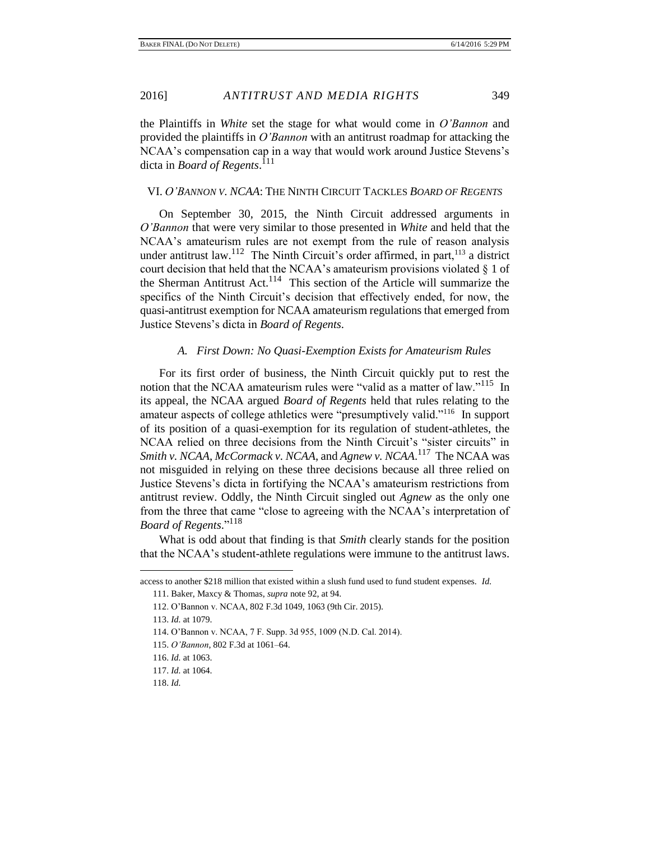the Plaintiffs in *White* set the stage for what would come in *O'Bannon* and provided the plaintiffs in *O'Bannon* with an antitrust roadmap for attacking the NCAA's compensation cap in a way that would work around Justice Stevens's dicta in *Board of Regents*. 111

# VI. *O'BANNON V. NCAA*: THE NINTH CIRCUIT TACKLES *BOARD OF REGENTS*

On September 30, 2015, the Ninth Circuit addressed arguments in *O'Bannon* that were very similar to those presented in *White* and held that the NCAA's amateurism rules are not exempt from the rule of reason analysis under antitrust law.<sup>112</sup> The Ninth Circuit's order affirmed, in part, <sup>113</sup> a district court decision that held that the NCAA's amateurism provisions violated § 1 of the Sherman Antitrust Act.<sup>114</sup> This section of the Article will summarize the specifics of the Ninth Circuit's decision that effectively ended, for now, the quasi-antitrust exemption for NCAA amateurism regulations that emerged from Justice Stevens's dicta in *Board of Regents*.

#### *A. First Down: No Quasi-Exemption Exists for Amateurism Rules*

For its first order of business, the Ninth Circuit quickly put to rest the notion that the NCAA amateurism rules were "valid as a matter of law."<sup>115</sup> In its appeal, the NCAA argued *Board of Regents* held that rules relating to the amateur aspects of college athletics were "presumptively valid."<sup>116</sup> In support of its position of a quasi-exemption for its regulation of student-athletes, the NCAA relied on three decisions from the Ninth Circuit's "sister circuits" in *Smith v. NCAA*, *McCormack v. NCAA*, and *Agnew v. NCAA*. 117 The NCAA was not misguided in relying on these three decisions because all three relied on Justice Stevens's dicta in fortifying the NCAA's amateurism restrictions from antitrust review. Oddly, the Ninth Circuit singled out *Agnew* as the only one from the three that came "close to agreeing with the NCAA's interpretation of *Board of Regents*." 118

What is odd about that finding is that *Smith* clearly stands for the position that the NCAA's student-athlete regulations were immune to the antitrust laws.

access to another \$218 million that existed within a slush fund used to fund student expenses. *Id.*

<sup>111.</sup> Baker, Maxcy & Thomas, *supra* note 92, at 94.

<sup>112.</sup> O'Bannon v. NCAA, 802 F.3d 1049, 1063 (9th Cir. 2015).

<sup>113.</sup> *Id.* at 1079.

<sup>114.</sup> O'Bannon v. NCAA, 7 F. Supp. 3d 955, 1009 (N.D. Cal. 2014).

<sup>115.</sup> *O'Bannon*, 802 F.3d at 1061–64.

<sup>116.</sup> *Id.* at 1063.

<sup>117.</sup> *Id.* at 1064.

<sup>118.</sup> *Id.*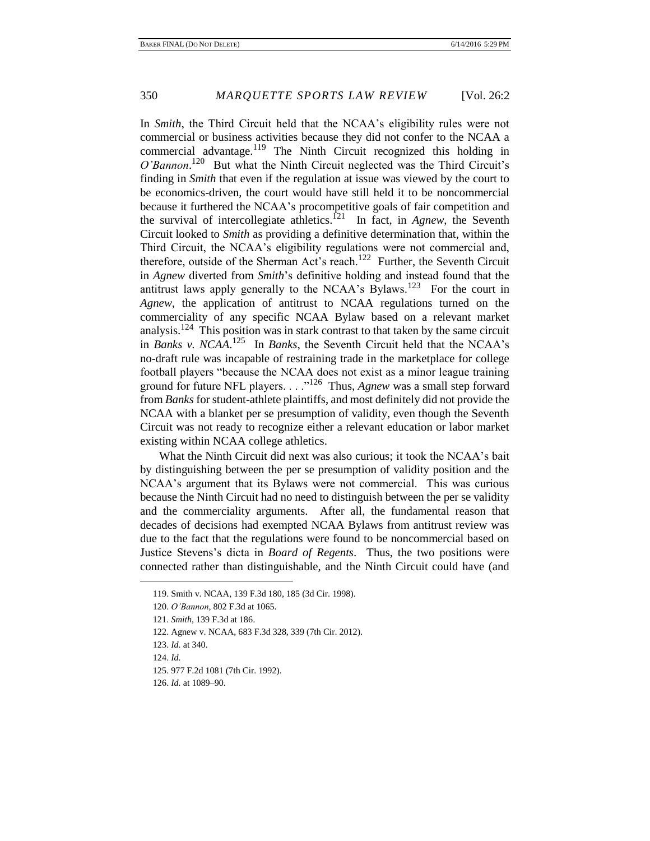In *Smith*, the Third Circuit held that the NCAA's eligibility rules were not commercial or business activities because they did not confer to the NCAA a commercial advantage.<sup>119</sup> The Ninth Circuit recognized this holding in O'Bannon.<sup>120</sup> But what the Ninth Circuit neglected was the Third Circuit's finding in *Smith* that even if the regulation at issue was viewed by the court to be economics-driven, the court would have still held it to be noncommercial because it furthered the NCAA's procompetitive goals of fair competition and the survival of intercollegiate athletics.<sup>121</sup> In fact, in *Agnew*, the Seventh Circuit looked to *Smith* as providing a definitive determination that, within the Third Circuit, the NCAA's eligibility regulations were not commercial and, therefore, outside of the Sherman Act's reach.<sup>122</sup> Further, the Seventh Circuit in *Agnew* diverted from *Smith*'s definitive holding and instead found that the antitrust laws apply generally to the NCAA's Bylaws.<sup>123</sup> For the court in *Agnew*, the application of antitrust to NCAA regulations turned on the commerciality of any specific NCAA Bylaw based on a relevant market analysis.<sup>124</sup> This position was in stark contrast to that taken by the same circuit in *Banks v. NCAA*. 125 In *Banks*, the Seventh Circuit held that the NCAA's no-draft rule was incapable of restraining trade in the marketplace for college football players "because the NCAA does not exist as a minor league training ground for future NFL players. . . . "<sup>126</sup> Thus, *Agnew* was a small step forward from *Banks* for student-athlete plaintiffs, and most definitely did not provide the NCAA with a blanket per se presumption of validity, even though the Seventh Circuit was not ready to recognize either a relevant education or labor market existing within NCAA college athletics.

What the Ninth Circuit did next was also curious; it took the NCAA's bait by distinguishing between the per se presumption of validity position and the NCAA's argument that its Bylaws were not commercial. This was curious because the Ninth Circuit had no need to distinguish between the per se validity and the commerciality arguments. After all, the fundamental reason that decades of decisions had exempted NCAA Bylaws from antitrust review was due to the fact that the regulations were found to be noncommercial based on Justice Stevens's dicta in *Board of Regents*. Thus, the two positions were connected rather than distinguishable, and the Ninth Circuit could have (and

122. Agnew v. NCAA, 683 F.3d 328, 339 (7th Cir. 2012).

124. *Id.*

<sup>119.</sup> Smith v. NCAA, 139 F.3d 180, 185 (3d Cir. 1998).

<sup>120.</sup> *O'Bannon*, 802 F.3d at 1065.

<sup>121.</sup> *Smith*, 139 F.3d at 186.

<sup>123.</sup> *Id.* at 340.

<sup>125. 977</sup> F.2d 1081 (7th Cir. 1992).

<sup>126.</sup> *Id.* at 1089–90.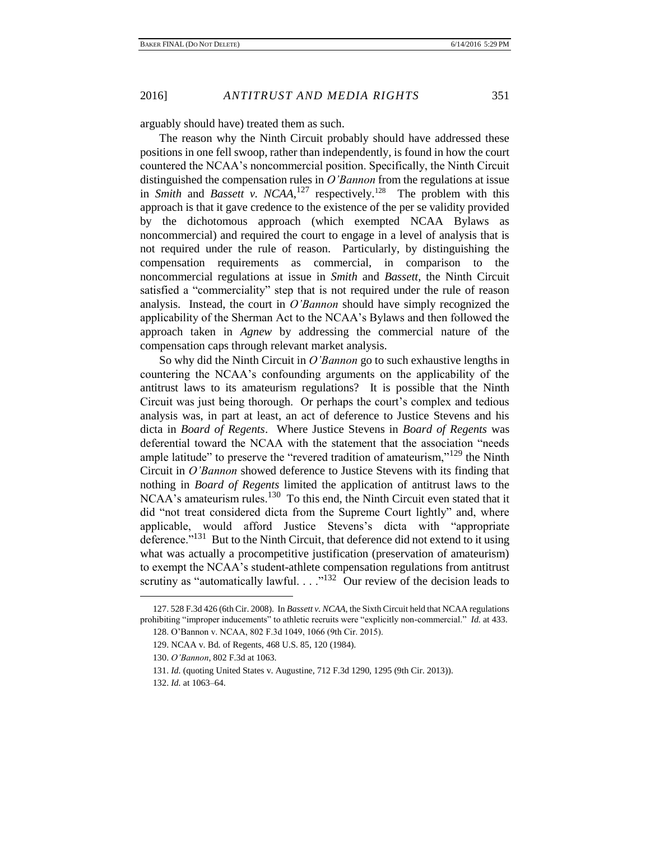arguably should have) treated them as such.

The reason why the Ninth Circuit probably should have addressed these positions in one fell swoop, rather than independently, is found in how the court countered the NCAA's noncommercial position. Specifically, the Ninth Circuit distinguished the compensation rules in *O'Bannon* from the regulations at issue in *Smith* and *Bassett v. NCAA*,<sup>127</sup> respectively.<sup>128</sup> The problem with this approach is that it gave credence to the existence of the per se validity provided by the dichotomous approach (which exempted NCAA Bylaws as noncommercial) and required the court to engage in a level of analysis that is not required under the rule of reason. Particularly, by distinguishing the compensation requirements as commercial, in comparison to the noncommercial regulations at issue in *Smith* and *Bassett*, the Ninth Circuit satisfied a "commerciality" step that is not required under the rule of reason analysis. Instead, the court in *O'Bannon* should have simply recognized the applicability of the Sherman Act to the NCAA's Bylaws and then followed the approach taken in *Agnew* by addressing the commercial nature of the compensation caps through relevant market analysis.

So why did the Ninth Circuit in *O'Bannon* go to such exhaustive lengths in countering the NCAA's confounding arguments on the applicability of the antitrust laws to its amateurism regulations? It is possible that the Ninth Circuit was just being thorough. Or perhaps the court's complex and tedious analysis was, in part at least, an act of deference to Justice Stevens and his dicta in *Board of Regents*. Where Justice Stevens in *Board of Regents* was deferential toward the NCAA with the statement that the association "needs ample latitude" to preserve the "revered tradition of amateurism,"<sup>129</sup> the Ninth Circuit in *O'Bannon* showed deference to Justice Stevens with its finding that nothing in *Board of Regents* limited the application of antitrust laws to the NCAA's amateurism rules.<sup>130</sup> To this end, the Ninth Circuit even stated that it did "not treat considered dicta from the Supreme Court lightly" and, where applicable, would afford Justice Stevens's dicta with "appropriate deference."<sup>131</sup> But to the Ninth Circuit, that deference did not extend to it using what was actually a procompetitive justification (preservation of amateurism) to exempt the NCAA's student-athlete compensation regulations from antitrust scrutiny as "automatically lawful.  $\ldots$ <sup>132</sup> Our review of the decision leads to

<sup>127. 528</sup> F.3d 426 (6th Cir. 2008). In *Bassett v. NCAA*, the Sixth Circuit held that NCAA regulations prohibiting "improper inducements" to athletic recruits were "explicitly non-commercial." *Id.* at 433.

<sup>128.</sup> O'Bannon v. NCAA, 802 F.3d 1049, 1066 (9th Cir. 2015).

<sup>129.</sup> NCAA v. Bd. of Regents, 468 U.S. 85, 120 (1984).

<sup>130.</sup> *O'Bannon*, 802 F.3d at 1063.

<sup>131.</sup> *Id.* (quoting United States v. Augustine, 712 F.3d 1290, 1295 (9th Cir. 2013)).

<sup>132.</sup> *Id.* at 1063–64.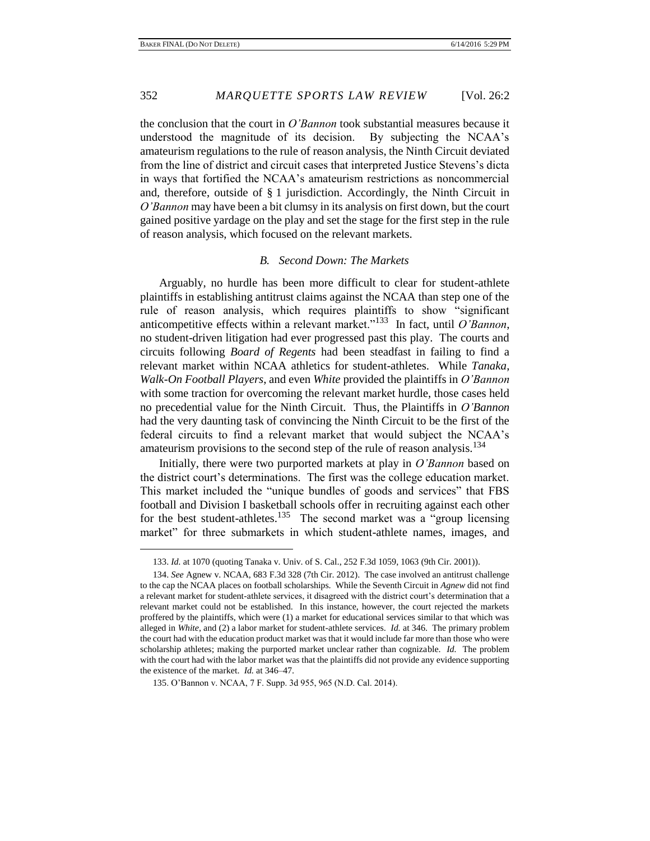the conclusion that the court in *O'Bannon* took substantial measures because it understood the magnitude of its decision. By subjecting the NCAA's amateurism regulations to the rule of reason analysis, the Ninth Circuit deviated from the line of district and circuit cases that interpreted Justice Stevens's dicta in ways that fortified the NCAA's amateurism restrictions as noncommercial and, therefore, outside of § 1 jurisdiction. Accordingly, the Ninth Circuit in *O'Bannon* may have been a bit clumsy in its analysis on first down, but the court gained positive yardage on the play and set the stage for the first step in the rule of reason analysis, which focused on the relevant markets.

#### *B. Second Down: The Markets*

Arguably, no hurdle has been more difficult to clear for student-athlete plaintiffs in establishing antitrust claims against the NCAA than step one of the rule of reason analysis, which requires plaintiffs to show "significant anticompetitive effects within a relevant market."<sup>133</sup> In fact, until *O'Bannon*, no student-driven litigation had ever progressed past this play. The courts and circuits following *Board of Regents* had been steadfast in failing to find a relevant market within NCAA athletics for student-athletes. While *Tanaka*, *Walk-On Football Players*, and even *White* provided the plaintiffs in *O'Bannon*  with some traction for overcoming the relevant market hurdle, those cases held no precedential value for the Ninth Circuit. Thus, the Plaintiffs in *O'Bannon*  had the very daunting task of convincing the Ninth Circuit to be the first of the federal circuits to find a relevant market that would subject the NCAA's amateurism provisions to the second step of the rule of reason analysis.<sup>134</sup>

Initially, there were two purported markets at play in *O'Bannon* based on the district court's determinations. The first was the college education market. This market included the "unique bundles of goods and services" that FBS football and Division I basketball schools offer in recruiting against each other for the best student-athletes.<sup>135</sup> The second market was a "group licensing" market" for three submarkets in which student-athlete names, images, and

<sup>133.</sup> *Id.* at 1070 (quoting Tanaka v. Univ. of S. Cal., 252 F.3d 1059, 1063 (9th Cir. 2001)).

<sup>134.</sup> *See* Agnew v. NCAA, 683 F.3d 328 (7th Cir. 2012). The case involved an antitrust challenge to the cap the NCAA places on football scholarships. While the Seventh Circuit in *Agnew* did not find a relevant market for student-athlete services, it disagreed with the district court's determination that a relevant market could not be established. In this instance, however, the court rejected the markets proffered by the plaintiffs, which were (1) a market for educational services similar to that which was alleged in *White*, and (2) a labor market for student-athlete services. *Id.* at 346. The primary problem the court had with the education product market was that it would include far more than those who were scholarship athletes; making the purported market unclear rather than cognizable. *Id.* The problem with the court had with the labor market was that the plaintiffs did not provide any evidence supporting the existence of the market. *Id.* at 346–47.

<sup>135.</sup> O'Bannon v. NCAA, 7 F. Supp. 3d 955, 965 (N.D. Cal. 2014).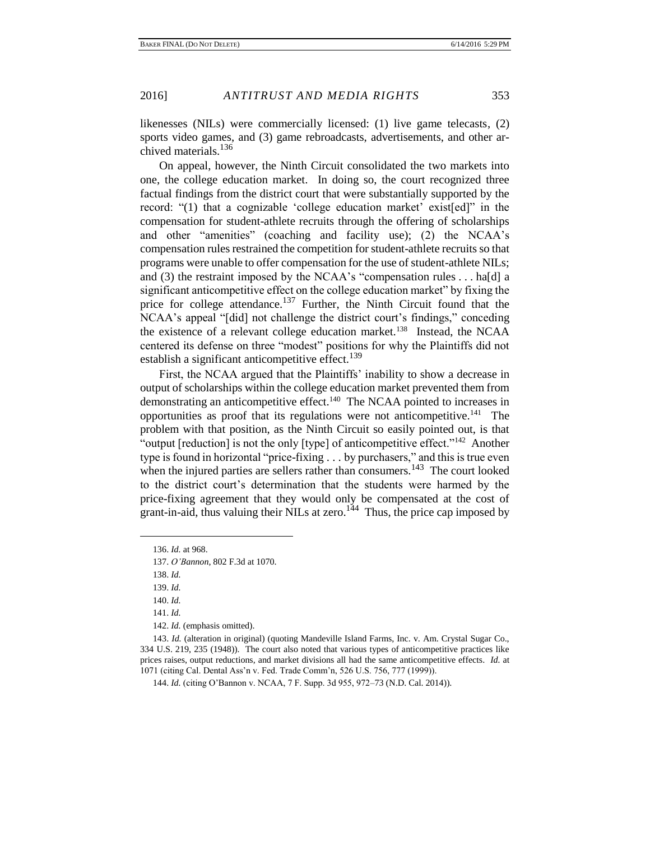likenesses (NILs) were commercially licensed: (1) live game telecasts, (2) sports video games, and (3) game rebroadcasts, advertisements, and other archived materials.<sup>136</sup>

On appeal, however, the Ninth Circuit consolidated the two markets into one, the college education market. In doing so, the court recognized three factual findings from the district court that were substantially supported by the record: "(1) that a cognizable 'college education market' exist[ed]" in the compensation for student-athlete recruits through the offering of scholarships and other "amenities" (coaching and facility use); (2) the NCAA's compensation rules restrained the competition for student-athlete recruits so that programs were unable to offer compensation for the use of student-athlete NILs; and (3) the restraint imposed by the NCAA's "compensation rules . . . ha[d] a significant anticompetitive effect on the college education market" by fixing the price for college attendance.<sup>137</sup> Further, the Ninth Circuit found that the NCAA's appeal "[did] not challenge the district court's findings," conceding the existence of a relevant college education market.<sup>138</sup> Instead, the NCAA centered its defense on three "modest" positions for why the Plaintiffs did not establish a significant anticompetitive effect.<sup>139</sup>

First, the NCAA argued that the Plaintiffs' inability to show a decrease in output of scholarships within the college education market prevented them from demonstrating an anticompetitive effect.<sup>140</sup> The NCAA pointed to increases in opportunities as proof that its regulations were not anticompetitive.<sup>141</sup> The problem with that position, as the Ninth Circuit so easily pointed out, is that "output [reduction] is not the only [type] of anticompetitive effect."<sup>142</sup> Another type is found in horizontal "price-fixing . . . by purchasers," and this is true even when the injured parties are sellers rather than consumers.<sup>143</sup> The court looked to the district court's determination that the students were harmed by the price-fixing agreement that they would only be compensated at the cost of grant-in-aid, thus valuing their NILs at zero.<sup>144</sup> Thus, the price cap imposed by

 $\overline{a}$ 

142. *Id.* (emphasis omitted).

<sup>136.</sup> *Id.* at 968.

<sup>137.</sup> *O'Bannon*, 802 F.3d at 1070.

<sup>138.</sup> *Id.*

<sup>139.</sup> *Id.*

<sup>140.</sup> *Id.*

<sup>141.</sup> *Id.*

<sup>143.</sup> *Id.* (alteration in original) (quoting Mandeville Island Farms, Inc. v. Am. Crystal Sugar Co., 334 U.S. 219, 235 (1948)). The court also noted that various types of anticompetitive practices like prices raises, output reductions, and market divisions all had the same anticompetitive effects. *Id.* at 1071 (citing Cal. Dental Ass'n v. Fed. Trade Comm'n, 526 U.S. 756, 777 (1999)).

<sup>144.</sup> *Id.* (citing O'Bannon v. NCAA, 7 F. Supp. 3d 955, 972–73 (N.D. Cal. 2014)).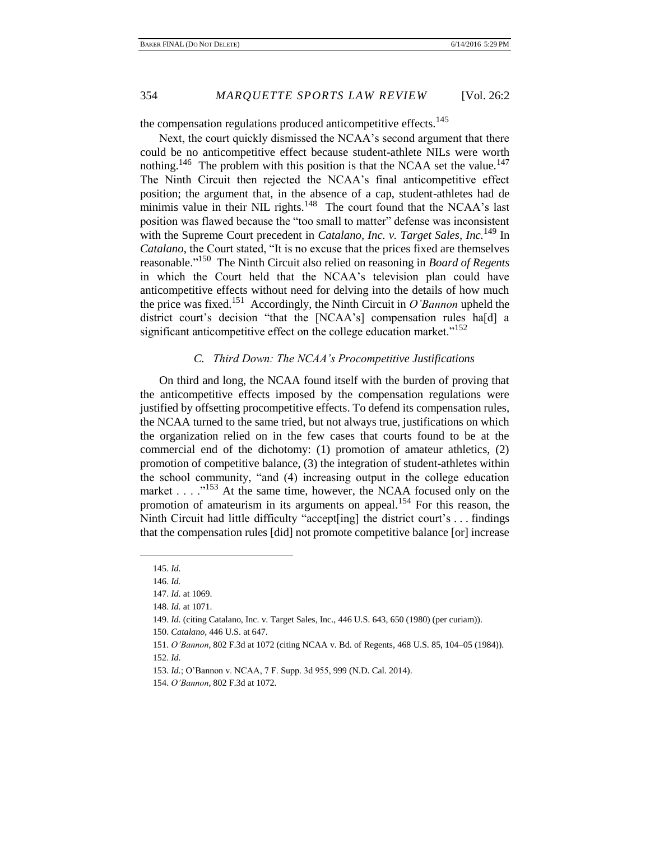the compensation regulations produced anticompetitive effects.<sup>145</sup>

Next, the court quickly dismissed the NCAA's second argument that there could be no anticompetitive effect because student-athlete NILs were worth nothing.<sup>146</sup> The problem with this position is that the NCAA set the value.<sup>147</sup> The Ninth Circuit then rejected the NCAA's final anticompetitive effect position; the argument that, in the absence of a cap, student-athletes had de minimis value in their NIL rights.<sup>148</sup> The court found that the NCAA's last position was flawed because the "too small to matter" defense was inconsistent with the Supreme Court precedent in *Catalano, Inc. v. Target Sales, Inc.*<sup>149</sup> In *Catalano*, the Court stated, "It is no excuse that the prices fixed are themselves reasonable."<sup>150</sup> The Ninth Circuit also relied on reasoning in *Board of Regents* in which the Court held that the NCAA's television plan could have anticompetitive effects without need for delving into the details of how much the price was fixed.<sup>151</sup> Accordingly, the Ninth Circuit in  $O'$ *Bannon* upheld the district court's decision "that the [NCAA's] compensation rules ha[d] a significant anticompetitive effect on the college education market."<sup>152</sup>

### *C. Third Down: The NCAA's Procompetitive Justifications*

On third and long, the NCAA found itself with the burden of proving that the anticompetitive effects imposed by the compensation regulations were justified by offsetting procompetitive effects. To defend its compensation rules, the NCAA turned to the same tried, but not always true, justifications on which the organization relied on in the few cases that courts found to be at the commercial end of the dichotomy: (1) promotion of amateur athletics, (2) promotion of competitive balance, (3) the integration of student-athletes within the school community, "and (4) increasing output in the college education market  $\ldots$   $\frac{153}{153}$  At the same time, however, the NCAA focused only on the promotion of amateurism in its arguments on appeal.<sup>154</sup> For this reason, the Ninth Circuit had little difficulty "accept[ing] the district court's . . . findings that the compensation rules [did] not promote competitive balance [or] increase

<sup>145.</sup> *Id.*

<sup>146.</sup> *Id.*

<sup>147.</sup> *Id.* at 1069.

<sup>148.</sup> *Id.* at 1071.

<sup>149.</sup> *Id.* (citing Catalano, Inc. v. Target Sales, Inc., 446 U.S. 643, 650 (1980) (per curiam)).

<sup>150.</sup> *Catalano*, 446 U.S. at 647.

<sup>151.</sup> *O'Bannon*, 802 F.3d at 1072 (citing NCAA v. Bd. of Regents, 468 U.S. 85, 104–05 (1984)).

<sup>152.</sup> *Id.*

<sup>153.</sup> *Id.*; O'Bannon v. NCAA, 7 F. Supp. 3d 955, 999 (N.D. Cal. 2014).

<sup>154.</sup> *O'Bannon*, 802 F.3d at 1072.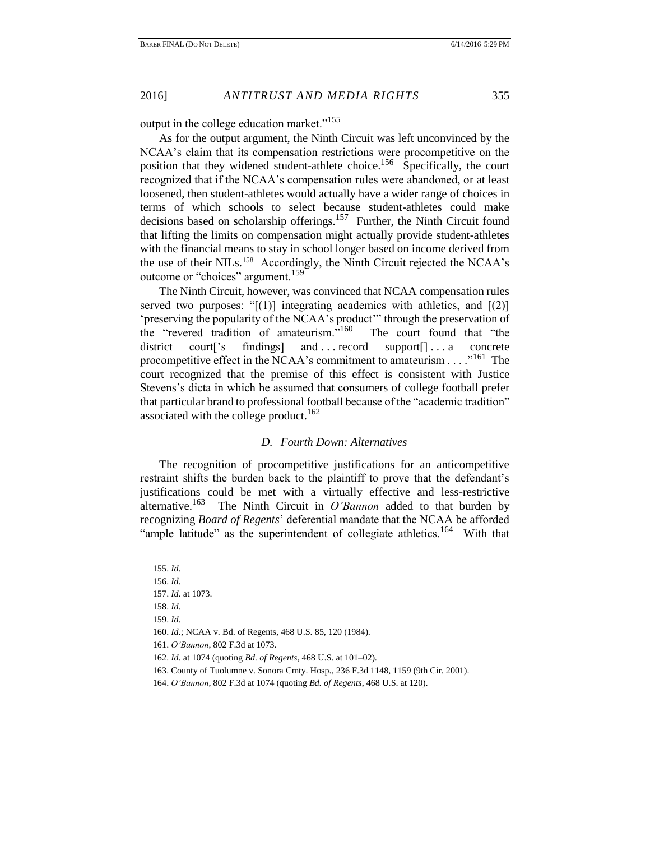output in the college education market."<sup>155</sup>

As for the output argument, the Ninth Circuit was left unconvinced by the NCAA's claim that its compensation restrictions were procompetitive on the position that they widened student-athlete choice.<sup>156</sup> Specifically, the court recognized that if the NCAA's compensation rules were abandoned, or at least loosened, then student-athletes would actually have a wider range of choices in terms of which schools to select because student-athletes could make decisions based on scholarship offerings.<sup>157</sup> Further, the Ninth Circuit found that lifting the limits on compensation might actually provide student-athletes with the financial means to stay in school longer based on income derived from the use of their NILs.<sup>158</sup> Accordingly, the Ninth Circuit rejected the NCAA's outcome or "choices" argument.<sup>159</sup>

The Ninth Circuit, however, was convinced that NCAA compensation rules served two purposes: " $[(1)]$  integrating academics with athletics, and  $[(2)]$ 'preserving the popularity of the NCAA's product'" through the preservation of the "revered tradition of amateurism."<sup>160</sup> The court found that "the district court<sup>['s</sup> findings] and ... record support<sup>[]</sup>... a concrete procompetitive effect in the NCAA's commitment to amateurism . . . . . "<sup>161</sup> The court recognized that the premise of this effect is consistent with Justice Stevens's dicta in which he assumed that consumers of college football prefer that particular brand to professional football because of the "academic tradition" associated with the college product.<sup>162</sup>

#### *D. Fourth Down: Alternatives*

The recognition of procompetitive justifications for an anticompetitive restraint shifts the burden back to the plaintiff to prove that the defendant's justifications could be met with a virtually effective and less-restrictive alternative.<sup>163</sup> The Ninth Circuit in  $O'$ *Bannon* added to that burden by recognizing *Board of Regents*' deferential mandate that the NCAA be afforded "ample latitude" as the superintendent of collegiate athletics.<sup>164</sup> With that

<sup>155.</sup> *Id.*

<sup>156.</sup> *Id.*

<sup>157.</sup> *Id.* at 1073.

<sup>158.</sup> *Id.* 159. *Id.*

<sup>160.</sup> *Id.*; NCAA v. Bd. of Regents, 468 U.S. 85, 120 (1984).

<sup>161.</sup> *O'Bannon*, 802 F.3d at 1073.

<sup>162.</sup> *Id.* at 1074 (quoting *Bd. of Regents*, 468 U.S. at 101–02).

<sup>163.</sup> County of Tuolumne v. Sonora Cmty. Hosp., 236 F.3d 1148, 1159 (9th Cir. 2001).

<sup>164.</sup> *O'Bannon*, 802 F.3d at 1074 (quoting *Bd. of Regents*, 468 U.S. at 120).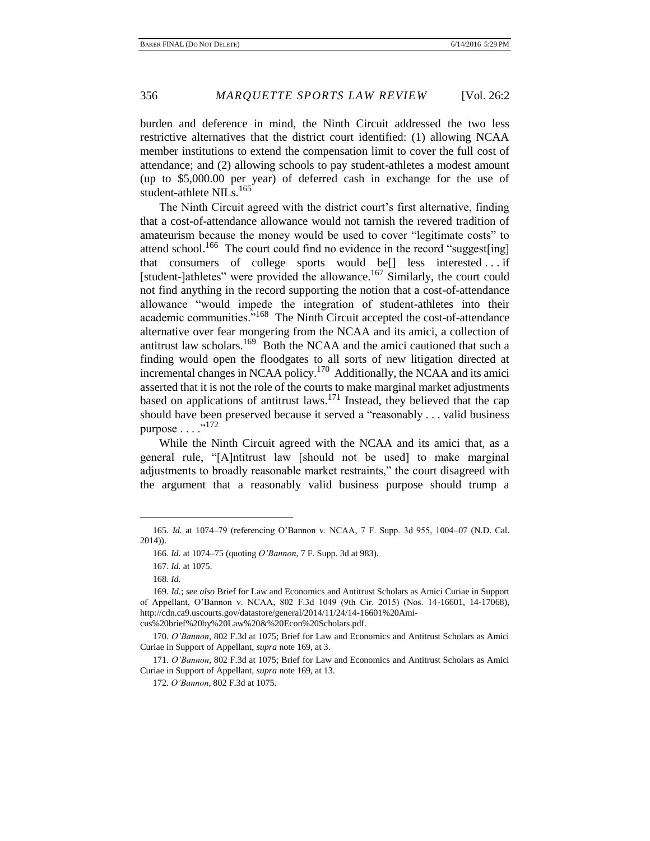burden and deference in mind, the Ninth Circuit addressed the two less restrictive alternatives that the district court identified: (1) allowing NCAA member institutions to extend the compensation limit to cover the full cost of attendance; and (2) allowing schools to pay student-athletes a modest amount (up to \$5,000.00 per year) of deferred cash in exchange for the use of student-athlete NILs.<sup>165</sup>

The Ninth Circuit agreed with the district court's first alternative, finding that a cost-of-attendance allowance would not tarnish the revered tradition of amateurism because the money would be used to cover "legitimate costs" to attend school.<sup>166</sup> The court could find no evidence in the record "suggest[ing] that consumers of college sports would be[] less interested . . . if [student-]athletes" were provided the allowance.<sup>167</sup> Similarly, the court could not find anything in the record supporting the notion that a cost-of-attendance allowance "would impede the integration of student-athletes into their academic communities.<sup>5168</sup> The Ninth Circuit accepted the cost-of-attendance alternative over fear mongering from the NCAA and its amici, a collection of antitrust law scholars.<sup>169</sup> Both the NCAA and the amici cautioned that such a finding would open the floodgates to all sorts of new litigation directed at incremental changes in NCAA policy.<sup>170</sup> Additionally, the NCAA and its amici asserted that it is not the role of the courts to make marginal market adjustments based on applications of antitrust laws.<sup>171</sup> Instead, they believed that the cap should have been preserved because it served a "reasonably . . . valid business purpose  $\ldots$  ...<sup>172</sup>

While the Ninth Circuit agreed with the NCAA and its amici that, as a general rule, "[A]ntitrust law [should not be used] to make marginal adjustments to broadly reasonable market restraints," the court disagreed with the argument that a reasonably valid business purpose should trump a

<sup>165.</sup> *Id.* at 1074–79 (referencing O'Bannon v. NCAA, 7 F. Supp. 3d 955, 1004–07 (N.D. Cal. 2014)).

<sup>166.</sup> *Id.* at 1074–75 (quoting *O'Bannon*, 7 F. Supp. 3d at 983).

<sup>167.</sup> *Id.* at 1075.

<sup>168.</sup> *Id.*

<sup>169.</sup> *Id.*; *see also* Brief for Law and Economics and Antitrust Scholars as Amici Curiae in Support of Appellant, O'Bannon v. NCAA, 802 F.3d 1049 (9th Cir. 2015) (Nos. 14-16601, 14-17068), http://cdn.ca9.uscourts.gov/datastore/general/2014/11/24/14-16601%20Amicus%20brief%20by%20Law%20&%20Econ%20Scholars.pdf.

<sup>170.</sup> *O'Bannon*, 802 F.3d at 1075; Brief for Law and Economics and Antitrust Scholars as Amici Curiae in Support of Appellant, *supra* note 169, at 3.

<sup>171.</sup> *O'Bannon*, 802 F.3d at 1075; Brief for Law and Economics and Antitrust Scholars as Amici Curiae in Support of Appellant, *supra* note 169, at 13.

<sup>172.</sup> *O'Bannon*, 802 F.3d at 1075.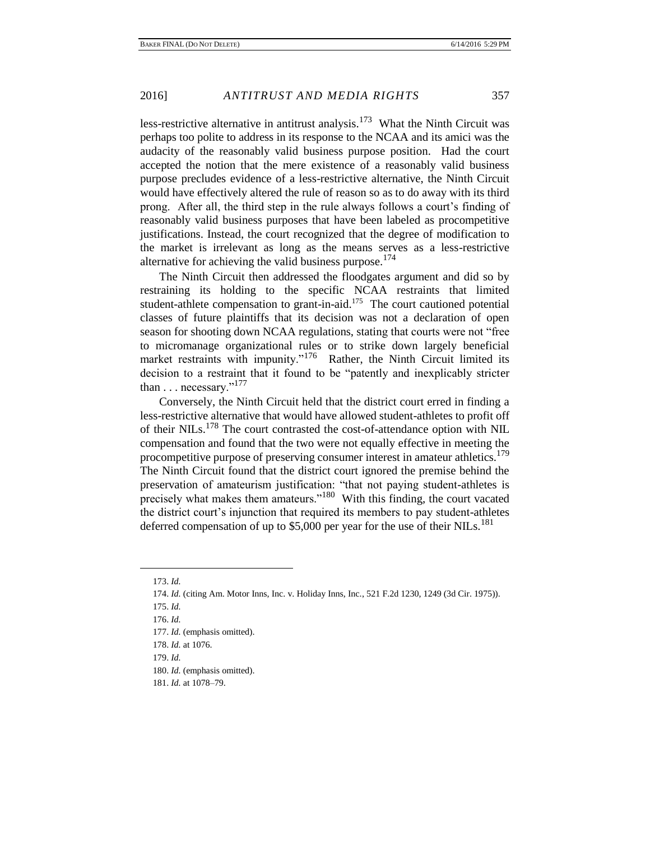less-restrictive alternative in antitrust analysis.<sup>173</sup> What the Ninth Circuit was perhaps too polite to address in its response to the NCAA and its amici was the audacity of the reasonably valid business purpose position. Had the court accepted the notion that the mere existence of a reasonably valid business purpose precludes evidence of a less-restrictive alternative, the Ninth Circuit would have effectively altered the rule of reason so as to do away with its third prong. After all, the third step in the rule always follows a court's finding of reasonably valid business purposes that have been labeled as procompetitive justifications. Instead, the court recognized that the degree of modification to the market is irrelevant as long as the means serves as a less-restrictive alternative for achieving the valid business purpose.<sup>174</sup>

The Ninth Circuit then addressed the floodgates argument and did so by restraining its holding to the specific NCAA restraints that limited student-athlete compensation to grant-in-aid.<sup>175</sup> The court cautioned potential classes of future plaintiffs that its decision was not a declaration of open season for shooting down NCAA regulations, stating that courts were not "free to micromanage organizational rules or to strike down largely beneficial market restraints with impunity."<sup>176</sup> Rather, the Ninth Circuit limited its decision to a restraint that it found to be "patently and inexplicably stricter than  $\dots$  necessary."<sup>177</sup>

Conversely, the Ninth Circuit held that the district court erred in finding a less-restrictive alternative that would have allowed student-athletes to profit off of their NILs.<sup>178</sup> The court contrasted the cost-of-attendance option with NIL compensation and found that the two were not equally effective in meeting the procompetitive purpose of preserving consumer interest in amateur athletics.<sup>179</sup> The Ninth Circuit found that the district court ignored the premise behind the preservation of amateurism justification: "that not paying student-athletes is precisely what makes them amateurs."<sup>180</sup> With this finding, the court vacated the district court's injunction that required its members to pay student-athletes deferred compensation of up to \$5,000 per year for the use of their NILs.<sup>181</sup>

 $\overline{a}$ 

179. *Id.*

<sup>173.</sup> *Id.*

<sup>174.</sup> *Id.* (citing Am. Motor Inns, Inc. v. Holiday Inns, Inc., 521 F.2d 1230, 1249 (3d Cir. 1975)).

<sup>175.</sup> *Id.*

<sup>176.</sup> *Id.*

<sup>177.</sup> *Id.* (emphasis omitted).

<sup>178.</sup> *Id.* at 1076.

<sup>180.</sup> *Id.* (emphasis omitted).

<sup>181.</sup> *Id.* at 1078–79.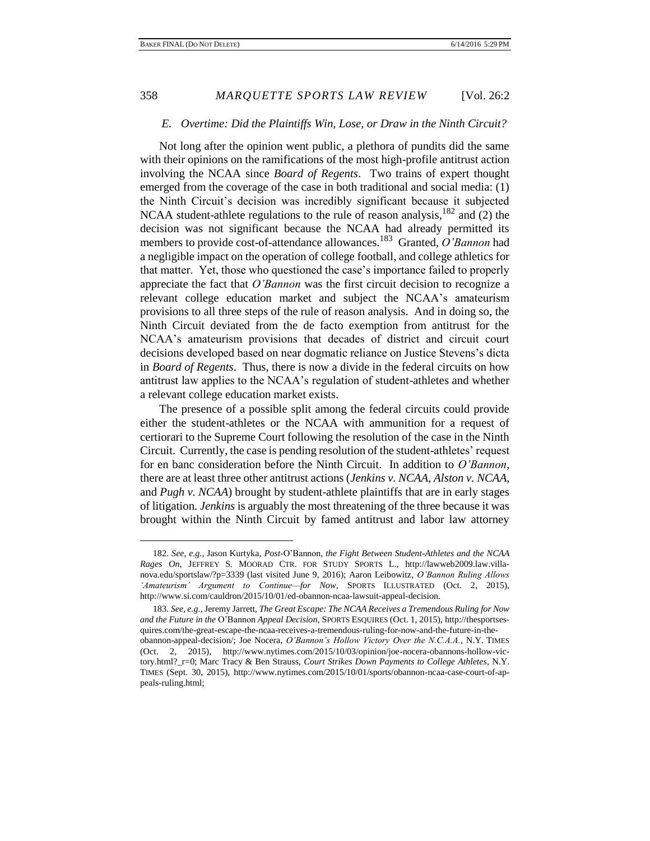#### *E. Overtime: Did the Plaintiffs Win, Lose, or Draw in the Ninth Circuit?*

Not long after the opinion went public, a plethora of pundits did the same with their opinions on the ramifications of the most high-profile antitrust action involving the NCAA since *Board of Regents*. Two trains of expert thought emerged from the coverage of the case in both traditional and social media: (1) the Ninth Circuit's decision was incredibly significant because it subjected NCAA student-athlete regulations to the rule of reason analysis,  $182$  and (2) the decision was not significant because the NCAA had already permitted its members to provide cost-of-attendance allowances.<sup>183</sup> Granted, *O'Bannon* had a negligible impact on the operation of college football, and college athletics for that matter. Yet, those who questioned the case's importance failed to properly appreciate the fact that *O'Bannon* was the first circuit decision to recognize a relevant college education market and subject the NCAA's amateurism provisions to all three steps of the rule of reason analysis. And in doing so, the Ninth Circuit deviated from the de facto exemption from antitrust for the NCAA's amateurism provisions that decades of district and circuit court decisions developed based on near dogmatic reliance on Justice Stevens's dicta in *Board of Regents*. Thus, there is now a divide in the federal circuits on how antitrust law applies to the NCAA's regulation of student-athletes and whether a relevant college education market exists.

The presence of a possible split among the federal circuits could provide either the student-athletes or the NCAA with ammunition for a request of certiorari to the Supreme Court following the resolution of the case in the Ninth Circuit. Currently, the case is pending resolution of the student-athletes' request for en banc consideration before the Ninth Circuit. In addition to *O'Bannon*, there are at least three other antitrust actions (*Jenkins v. NCAA*, *Alston v. NCAA*, and *Pugh v. NCAA*) brought by student-athlete plaintiffs that are in early stages of litigation. *Jenkins* is arguably the most threatening of the three because it was brought within the Ninth Circuit by famed antitrust and labor law attorney

<sup>182.</sup> *See, e.g.*, Jason Kurtyka, *Post-*O'Bannon*, the Fight Between Student-Athletes and the NCAA Rages On*, JEFFREY S. MOORAD CTR. FOR STUDY SPORTS L., http://lawweb2009.law.villanova.edu/sportslaw/?p=3339 (last visited June 9, 2016); Aaron Leibowitz, *O'Bannon Ruling Allows 'Amateurism' Argument to Continue—for Now*, SPORTS ILLUSTRATED (Oct. 2, 2015), http://www.si.com/cauldron/2015/10/01/ed-obannon-ncaa-lawsuit-appeal-decision.

<sup>183.</sup> *See, e.g.*, Jeremy Jarrett, *The Great Escape: The NCAA Receives a Tremendous Ruling for Now and the Future in the* O'Bannon *Appeal Decision*, SPORTS ESQUIRES (Oct. 1, 2015), http://thesportsesquires.com/the-great-escape-the-ncaa-receives-a-tremendous-ruling-for-now-and-the-future-in-theobannon-appeal-decision/; Joe Nocera, *O'Bannon's Hollow Victory Over the N.C.A.A.*, N.Y. TIMES (Oct. 2, 2015), http://www.nytimes.com/2015/10/03/opinion/joe-nocera-obannons-hollow-victory.html?\_r=0; Marc Tracy & Ben Strauss, *Court Strikes Down Payments to College Athletes*, N.Y. TIMES (Sept. 30, 2015), http://www.nytimes.com/2015/10/01/sports/obannon-ncaa-case-court-of-appeals-ruling.html;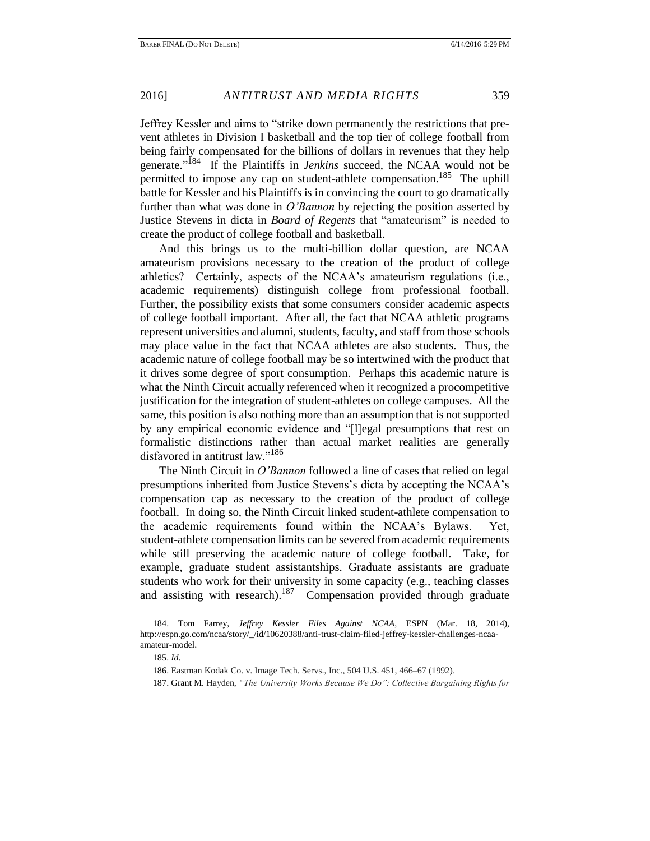Jeffrey Kessler and aims to "strike down permanently the restrictions that prevent athletes in Division I basketball and the top tier of college football from being fairly compensated for the billions of dollars in revenues that they help generate."<sup>184</sup> If the Plaintiffs in *Jenkins* succeed, the NCAA would not be permitted to impose any cap on student-athlete compensation.<sup>185</sup> The uphill battle for Kessler and his Plaintiffs is in convincing the court to go dramatically further than what was done in *O'Bannon* by rejecting the position asserted by Justice Stevens in dicta in *Board of Regents* that "amateurism" is needed to create the product of college football and basketball.

And this brings us to the multi-billion dollar question, are NCAA amateurism provisions necessary to the creation of the product of college athletics? Certainly, aspects of the NCAA's amateurism regulations (i.e., academic requirements) distinguish college from professional football. Further, the possibility exists that some consumers consider academic aspects of college football important. After all, the fact that NCAA athletic programs represent universities and alumni, students, faculty, and staff from those schools may place value in the fact that NCAA athletes are also students. Thus, the academic nature of college football may be so intertwined with the product that it drives some degree of sport consumption. Perhaps this academic nature is what the Ninth Circuit actually referenced when it recognized a procompetitive justification for the integration of student-athletes on college campuses. All the same, this position is also nothing more than an assumption that is not supported by any empirical economic evidence and "[l]egal presumptions that rest on formalistic distinctions rather than actual market realities are generally disfavored in antitrust law."<sup>186</sup>

The Ninth Circuit in *O'Bannon* followed a line of cases that relied on legal presumptions inherited from Justice Stevens's dicta by accepting the NCAA's compensation cap as necessary to the creation of the product of college football. In doing so, the Ninth Circuit linked student-athlete compensation to the academic requirements found within the NCAA's Bylaws. Yet, student-athlete compensation limits can be severed from academic requirements while still preserving the academic nature of college football. Take, for example, graduate student assistantships. Graduate assistants are graduate students who work for their university in some capacity (e.g., teaching classes and assisting with research).<sup>187</sup> Compensation provided through graduate

<sup>184.</sup> Tom Farrey, *Jeffrey Kessler Files Against NCAA*, ESPN (Mar. 18, 2014), http://espn.go.com/ncaa/story/\_/id/10620388/anti-trust-claim-filed-jeffrey-kessler-challenges-ncaaamateur-model.

<sup>185.</sup> *Id.*

<sup>186.</sup> Eastman Kodak Co. v. Image Tech. Servs., Inc., 504 U.S. 451, 466–67 (1992).

<sup>187.</sup> Grant M. Hayden, *"The University Works Because We Do": Collective Bargaining Rights for*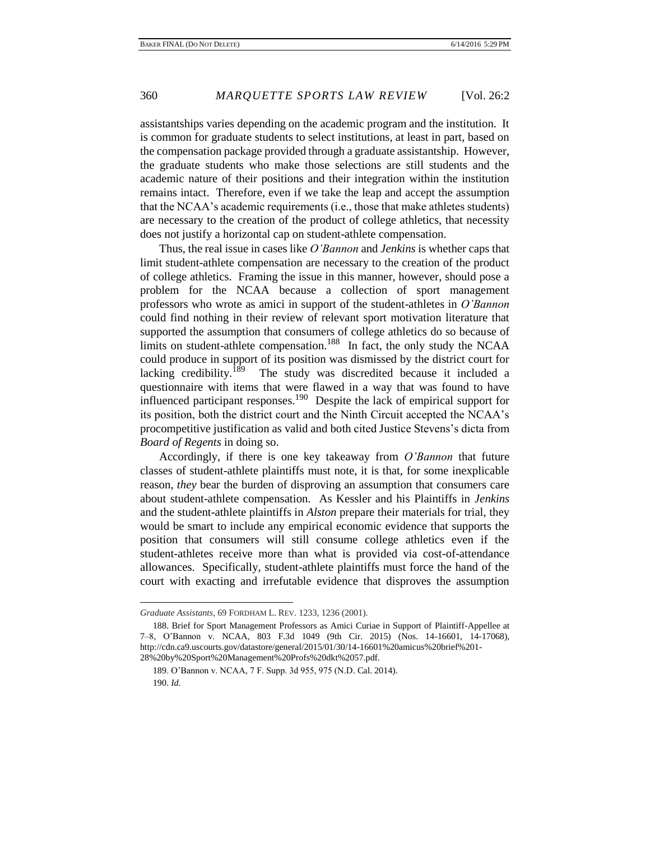assistantships varies depending on the academic program and the institution. It is common for graduate students to select institutions, at least in part, based on the compensation package provided through a graduate assistantship. However, the graduate students who make those selections are still students and the academic nature of their positions and their integration within the institution remains intact. Therefore, even if we take the leap and accept the assumption that the NCAA's academic requirements (i.e., those that make athletes students) are necessary to the creation of the product of college athletics, that necessity does not justify a horizontal cap on student-athlete compensation.

Thus, the real issue in cases like *O'Bannon* and *Jenkins* is whether caps that limit student-athlete compensation are necessary to the creation of the product of college athletics. Framing the issue in this manner, however, should pose a problem for the NCAA because a collection of sport management professors who wrote as amici in support of the student-athletes in *O'Bannon*  could find nothing in their review of relevant sport motivation literature that supported the assumption that consumers of college athletics do so because of limits on student-athlete compensation.<sup>188</sup> In fact, the only study the NCAA could produce in support of its position was dismissed by the district court for lacking credibility.<sup>189</sup> The study was discredited because it included a questionnaire with items that were flawed in a way that was found to have influenced participant responses.<sup>190</sup> Despite the lack of empirical support for its position, both the district court and the Ninth Circuit accepted the NCAA's procompetitive justification as valid and both cited Justice Stevens's dicta from *Board of Regents* in doing so.

Accordingly, if there is one key takeaway from *O'Bannon* that future classes of student-athlete plaintiffs must note, it is that, for some inexplicable reason, *they* bear the burden of disproving an assumption that consumers care about student-athlete compensation. As Kessler and his Plaintiffs in *Jenkins* and the student-athlete plaintiffs in *Alston* prepare their materials for trial, they would be smart to include any empirical economic evidence that supports the position that consumers will still consume college athletics even if the student-athletes receive more than what is provided via cost-of-attendance allowances. Specifically, student-athlete plaintiffs must force the hand of the court with exacting and irrefutable evidence that disproves the assumption

*Graduate Assistants*, 69 FORDHAM L. REV*.* 1233, 1236 (2001).

<sup>188.</sup> Brief for Sport Management Professors as Amici Curiae in Support of Plaintiff-Appellee at 7–8, O'Bannon v. NCAA, 803 F.3d 1049 (9th Cir. 2015) (Nos. 14-16601, 14-17068), http://cdn.ca9.uscourts.gov/datastore/general/2015/01/30/14-16601%20amicus%20brief%201- 28%20by%20Sport%20Management%20Profs%20dkt%2057.pdf.

<sup>189.</sup> O'Bannon v. NCAA, 7 F. Supp. 3d 955, 975 (N.D. Cal. 2014). 190. *Id.*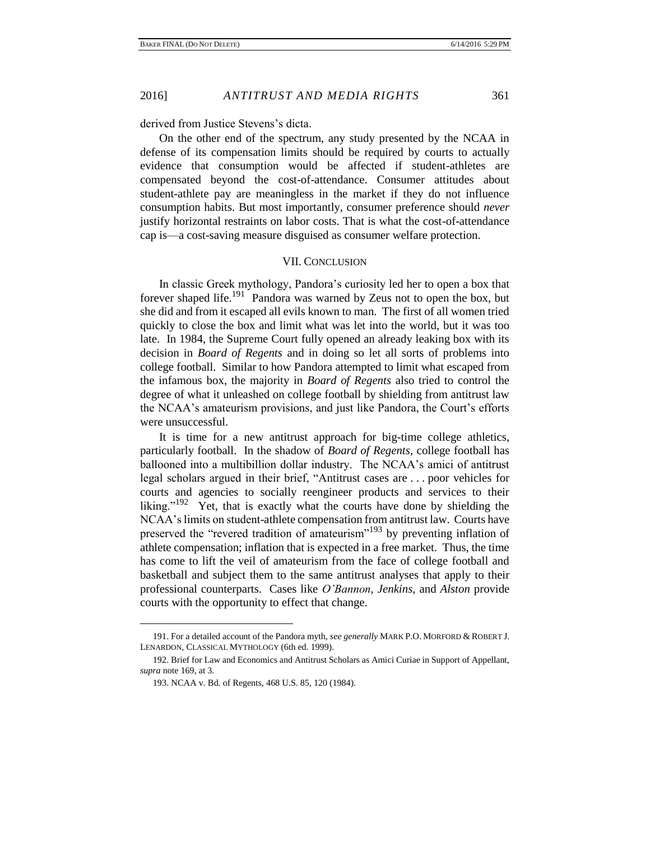derived from Justice Stevens's dicta.

On the other end of the spectrum, any study presented by the NCAA in defense of its compensation limits should be required by courts to actually evidence that consumption would be affected if student-athletes are compensated beyond the cost-of-attendance. Consumer attitudes about student-athlete pay are meaningless in the market if they do not influence consumption habits. But most importantly, consumer preference should *never* justify horizontal restraints on labor costs. That is what the cost-of-attendance cap is—a cost-saving measure disguised as consumer welfare protection.

# VII. CONCLUSION

In classic Greek mythology, Pandora's curiosity led her to open a box that forever shaped life.<sup>191</sup> Pandora was warned by Zeus not to open the box, but she did and from it escaped all evils known to man. The first of all women tried quickly to close the box and limit what was let into the world, but it was too late. In 1984, the Supreme Court fully opened an already leaking box with its decision in *Board of Regents* and in doing so let all sorts of problems into college football. Similar to how Pandora attempted to limit what escaped from the infamous box, the majority in *Board of Regents* also tried to control the degree of what it unleashed on college football by shielding from antitrust law the NCAA's amateurism provisions, and just like Pandora, the Court's efforts were unsuccessful.

It is time for a new antitrust approach for big-time college athletics, particularly football. In the shadow of *Board of Regents*, college football has ballooned into a multibillion dollar industry. The NCAA's amici of antitrust legal scholars argued in their brief, "Antitrust cases are . . . poor vehicles for courts and agencies to socially reengineer products and services to their liking."<sup>192</sup> Yet, that is exactly what the courts have done by shielding the NCAA's limits on student-athlete compensation from antitrust law. Courts have preserved the "revered tradition of amateurism"<sup>193</sup> by preventing inflation of athlete compensation; inflation that is expected in a free market. Thus, the time has come to lift the veil of amateurism from the face of college football and basketball and subject them to the same antitrust analyses that apply to their professional counterparts. Cases like *O'Bannon*, *Jenkins*, and *Alston* provide courts with the opportunity to effect that change.

<sup>191.</sup> For a detailed account of the Pandora myth, *see generally* MARK P.O. MORFORD & ROBERT J. LENARDON, CLASSICAL MYTHOLOGY (6th ed. 1999).

<sup>192.</sup> Brief for Law and Economics and Antitrust Scholars as Amici Curiae in Support of Appellant, *supra* note 169, at 3.

<sup>193.</sup> NCAA v. Bd. of Regents, 468 U.S. 85, 120 (1984).